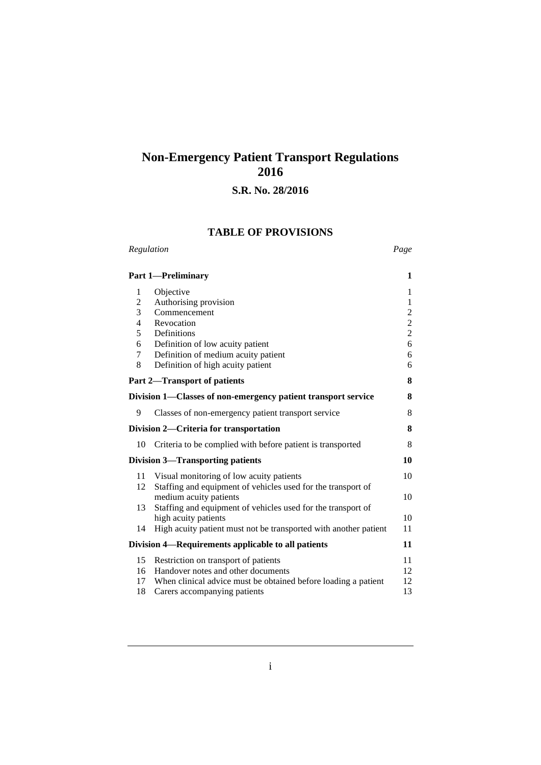# **Non-Emergency Patient Transport Regulations 2016**

# **S.R. No. 28/2016**

# **TABLE OF PROVISIONS** *Regulation Page*

|                | <b>Part 1-Preliminary</b>                                        | 1                       |
|----------------|------------------------------------------------------------------|-------------------------|
| 1              | Objective                                                        | $\mathbf{1}$            |
| $\overline{c}$ | Authorising provision                                            | $\mathbf{1}$            |
| $\overline{3}$ | Commencement                                                     | $\overline{\mathbf{c}}$ |
| 4              | Revocation                                                       | $\overline{c}$          |
| 5              | Definitions                                                      | $\overline{c}$          |
| 6              | Definition of low acuity patient                                 | 6                       |
| 7              | Definition of medium acuity patient                              | 6                       |
| 8              | Definition of high acuity patient                                | 6                       |
|                | Part 2-Transport of patients                                     | 8                       |
|                | Division 1—Classes of non-emergency patient transport service    | 8                       |
| 9              | Classes of non-emergency patient transport service               | 8                       |
|                | Division 2-Criteria for transportation                           | 8                       |
| 10             | Criteria to be complied with before patient is transported       | 8                       |
|                | <b>Division 3-Transporting patients</b>                          | 10                      |
| 11             | Visual monitoring of low acuity patients                         | 10                      |
| 12             | Staffing and equipment of vehicles used for the transport of     |                         |
|                | medium acuity patients                                           | 10                      |
| 13             | Staffing and equipment of vehicles used for the transport of     |                         |
|                | high acuity patients                                             | 10                      |
| 14             | High acuity patient must not be transported with another patient | 11                      |
|                | Division 4—Requirements applicable to all patients               | 11                      |
| 15             | Restriction on transport of patients                             | 11                      |
| 16             | Handover notes and other documents                               | 12                      |
| 17             | When clinical advice must be obtained before loading a patient   | 12                      |
| 18             | Carers accompanying patients                                     | 13                      |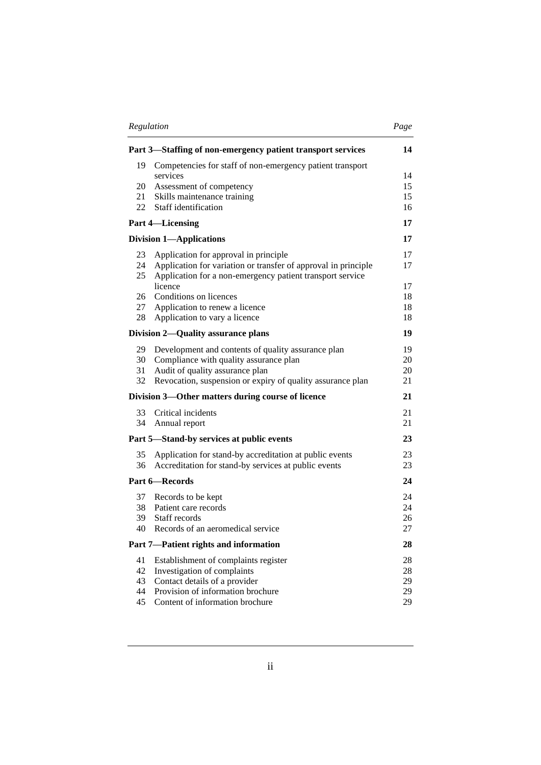|--|

|          | Part 3-Staffing of non-emergency patient transport services                                                                 | 14       |
|----------|-----------------------------------------------------------------------------------------------------------------------------|----------|
| 19       | Competencies for staff of non-emergency patient transport                                                                   |          |
|          | services                                                                                                                    | 14       |
| 20       | Assessment of competency                                                                                                    | 15       |
| 21<br>22 | Skills maintenance training<br>Staff identification                                                                         | 15<br>16 |
|          |                                                                                                                             | 17       |
|          | <b>Part 4-Licensing</b>                                                                                                     |          |
|          | <b>Division 1-Applications</b>                                                                                              | 17       |
| 23       | Application for approval in principle                                                                                       | 17       |
| 24<br>25 | Application for variation or transfer of approval in principle<br>Application for a non-emergency patient transport service | 17       |
|          | licence                                                                                                                     | 17       |
| 26       | Conditions on licences                                                                                                      | 18       |
| 27       | Application to renew a licence                                                                                              | 18       |
| 28       | Application to vary a licence                                                                                               | 18       |
|          | Division 2—Quality assurance plans                                                                                          | 19       |
| 29       | Development and contents of quality assurance plan                                                                          | 19       |
| 30       | Compliance with quality assurance plan                                                                                      | 20       |
| 31<br>32 | Audit of quality assurance plan                                                                                             | 20<br>21 |
|          | Revocation, suspension or expiry of quality assurance plan                                                                  |          |
|          | Division 3—Other matters during course of licence                                                                           | 21       |
| 33       | Critical incidents                                                                                                          | 21       |
| 34       | Annual report                                                                                                               | 21       |
|          | Part 5—Stand-by services at public events                                                                                   | 23       |
| 35       | Application for stand-by accreditation at public events                                                                     | 23       |
| 36       | Accreditation for stand-by services at public events                                                                        | 23       |
|          | Part 6-Records                                                                                                              | 24       |
| 37       | Records to be kept                                                                                                          | 24       |
| 38       | Patient care records                                                                                                        | 24       |
| 39       | Staff records                                                                                                               | 26       |
| 40       | Records of an aeromedical service                                                                                           | 27       |
|          | Part 7-Patient rights and information                                                                                       | 28       |
| 41       | Establishment of complaints register                                                                                        | 28       |
| 42<br>43 | Investigation of complaints                                                                                                 | 28       |
| 44       | Contact details of a provider<br>Provision of information brochure                                                          | 29<br>29 |
| 45       | Content of information brochure                                                                                             | 29       |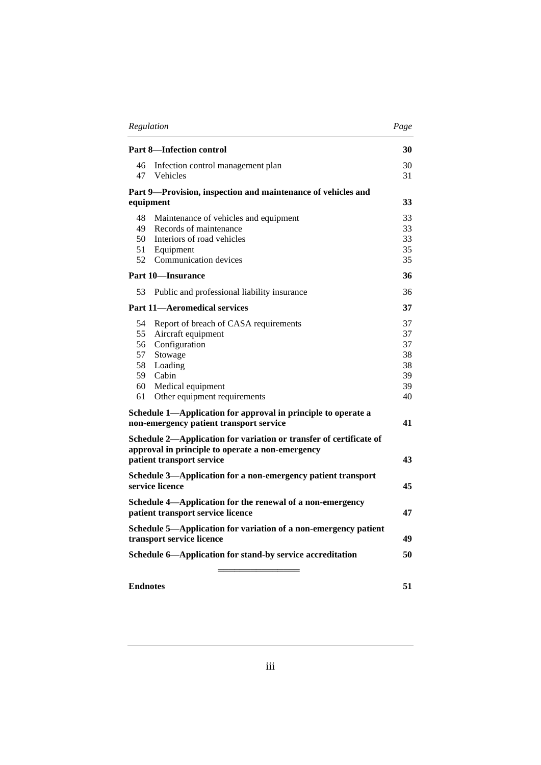|                                                                                              | Regulation<br>Page                                                                                                     |          |
|----------------------------------------------------------------------------------------------|------------------------------------------------------------------------------------------------------------------------|----------|
|                                                                                              | <b>Part 8-Infection control</b>                                                                                        | 30       |
| 46<br>47                                                                                     | Infection control management plan<br>Vehicles                                                                          | 30<br>31 |
|                                                                                              | Part 9-Provision, inspection and maintenance of vehicles and                                                           |          |
|                                                                                              | equipment                                                                                                              | 33       |
| 48                                                                                           | Maintenance of vehicles and equipment                                                                                  | 33       |
| 49                                                                                           | Records of maintenance                                                                                                 | 33       |
| 50                                                                                           | Interiors of road vehicles                                                                                             | 33       |
| 51<br>52                                                                                     | Equipment<br>Communication devices                                                                                     | 35<br>35 |
|                                                                                              |                                                                                                                        |          |
|                                                                                              | <b>Part 10-Insurance</b>                                                                                               | 36       |
| 53                                                                                           | Public and professional liability insurance                                                                            | 36       |
|                                                                                              | <b>Part 11-Aeromedical services</b>                                                                                    | 37       |
| 54                                                                                           | Report of breach of CASA requirements                                                                                  | 37       |
| 55                                                                                           | Aircraft equipment                                                                                                     | 37       |
| 56                                                                                           | Configuration                                                                                                          | 37       |
| 57<br>58                                                                                     | Stowage<br>Loading                                                                                                     | 38<br>38 |
| 59                                                                                           | Cabin                                                                                                                  | 39       |
| 60                                                                                           | Medical equipment                                                                                                      | 39       |
| 61                                                                                           | Other equipment requirements                                                                                           | 40       |
|                                                                                              | Schedule 1—Application for approval in principle to operate a                                                          |          |
|                                                                                              | non-emergency patient transport service                                                                                | 41       |
|                                                                                              | Schedule 2-Application for variation or transfer of certificate of<br>approval in principle to operate a non-emergency |          |
|                                                                                              | patient transport service                                                                                              | 43       |
|                                                                                              | Schedule 3-Application for a non-emergency patient transport                                                           |          |
|                                                                                              | service licence                                                                                                        | 45       |
|                                                                                              | Schedule 4-Application for the renewal of a non-emergency                                                              |          |
|                                                                                              | patient transport service licence                                                                                      | 47       |
| Schedule 5-Application for variation of a non-emergency patient<br>transport service licence |                                                                                                                        | 49       |
|                                                                                              | Schedule 6-Application for stand-by service accreditation                                                              | 50       |
|                                                                                              |                                                                                                                        |          |
| <b>Endnotes</b>                                                                              |                                                                                                                        | 51       |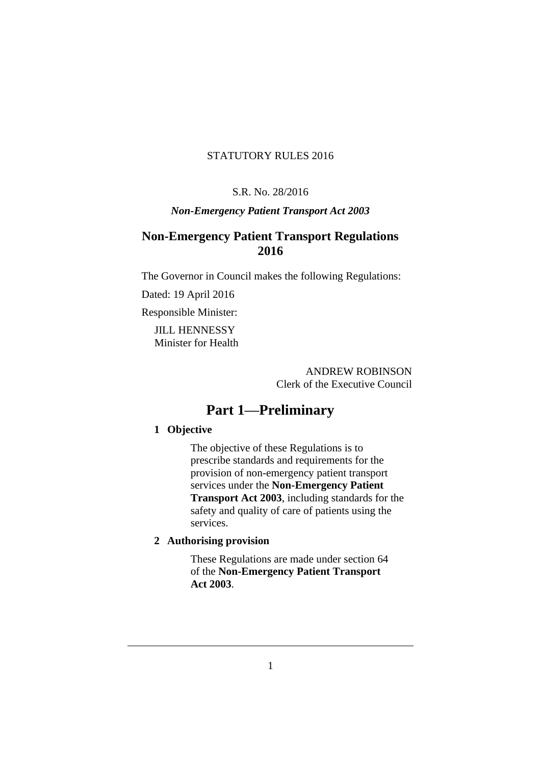# STATUTORY RULES 2016

#### S.R. No. 28/2016

# *Non-Emergency Patient Transport Act 2003*

# **Non-Emergency Patient Transport Regulations 2016**

The Governor in Council makes the following Regulations:

Dated: 19 April 2016

Responsible Minister:

JILL HENNESSY Minister for Health

> ANDREW ROBINSON Clerk of the Executive Council

# **Part 1—Preliminary**

# **1 Objective**

The objective of these Regulations is to prescribe standards and requirements for the provision of non-emergency patient transport services under the **Non-Emergency Patient Transport Act 2003**, including standards for the safety and quality of care of patients using the services.

# **2 Authorising provision**

These Regulations are made under section 64 of the **Non-Emergency Patient Transport Act 2003**.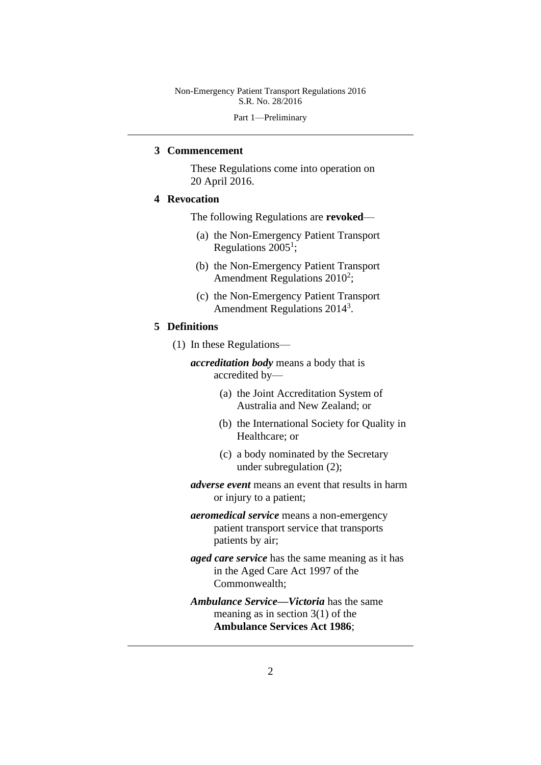Part 1—Preliminary

#### **3 Commencement**

These Regulations come into operation on 20 April 2016.

### **4 Revocation**

The following Regulations are **revoked**—

- (a) the Non-Emergency Patient Transport Regulations  $2005<sup>1</sup>$ ;
- (b) the Non-Emergency Patient Transport Amendment Regulations  $2010^2$ ;
- (c) the Non-Emergency Patient Transport Amendment Regulations 2014<sup>3</sup>.

#### **5 Definitions**

- (1) In these Regulations
	- *accreditation body* means a body that is accredited by—
		- (a) the Joint Accreditation System of Australia and New Zealand; or
		- (b) the International Society for Quality in Healthcare; or
		- (c) a body nominated by the Secretary under subregulation (2);
	- *adverse event* means an event that results in harm or injury to a patient;
	- *aeromedical service* means a non-emergency patient transport service that transports patients by air;
	- *aged care service* has the same meaning as it has in the Aged Care Act 1997 of the Commonwealth;
	- *Ambulance Service***—***Victoria* has the same meaning as in section 3(1) of the **Ambulance Services Act 1986**;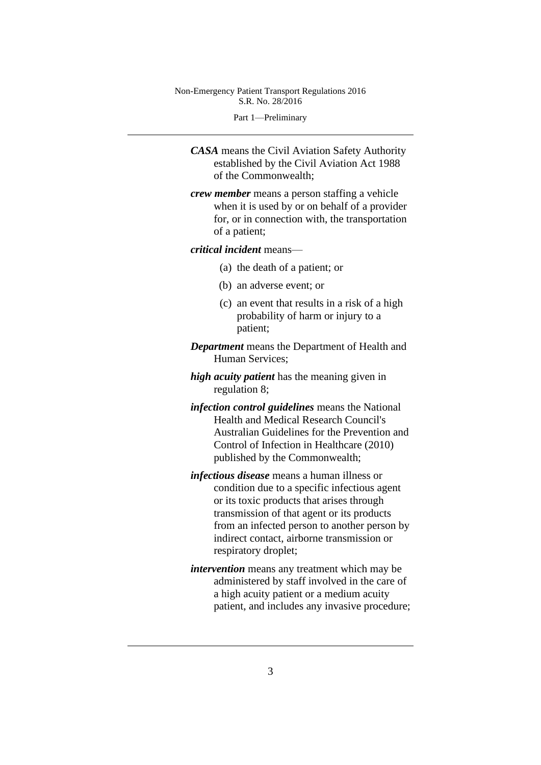Part 1—Preliminary

*CASA* means the Civil Aviation Safety Authority established by the Civil Aviation Act 1988 of the Commonwealth;

*crew member* means a person staffing a vehicle when it is used by or on behalf of a provider for, or in connection with, the transportation of a patient;

#### *critical incident* means—

- (a) the death of a patient; or
- (b) an adverse event; or
- (c) an event that results in a risk of a high probability of harm or injury to a patient;
- *Department* means the Department of Health and Human Services;
- *high acuity patient* has the meaning given in regulation 8;
- *infection control guidelines* means the National Health and Medical Research Council's Australian Guidelines for the Prevention and Control of Infection in Healthcare (2010) published by the Commonwealth;
- *infectious disease* means a human illness or condition due to a specific infectious agent or its toxic products that arises through transmission of that agent or its products from an infected person to another person by indirect contact, airborne transmission or respiratory droplet;
- *intervention* means any treatment which may be administered by staff involved in the care of a high acuity patient or a medium acuity patient, and includes any invasive procedure;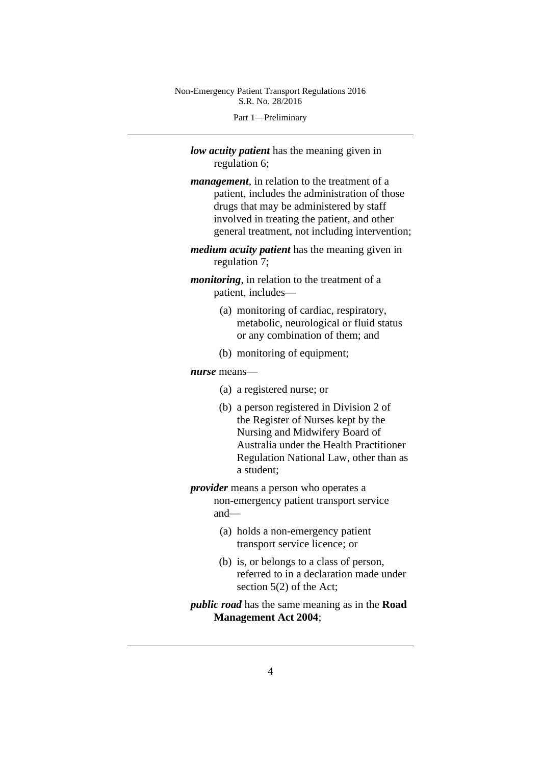Part 1—Preliminary

*low acuity patient* has the meaning given in regulation 6;

- *management*, in relation to the treatment of a patient, includes the administration of those drugs that may be administered by staff involved in treating the patient, and other general treatment, not including intervention;
- *medium acuity patient* has the meaning given in regulation 7;

*monitoring*, in relation to the treatment of a patient, includes—

- (a) monitoring of cardiac, respiratory, metabolic, neurological or fluid status or any combination of them; and
- (b) monitoring of equipment;

#### *nurse* means—

- (a) a registered nurse; or
- (b) a person registered in Division 2 of the Register of Nurses kept by the Nursing and Midwifery Board of Australia under the Health Practitioner Regulation National Law, other than as a student;
- *provider* means a person who operates a non-emergency patient transport service and—
	- (a) holds a non-emergency patient transport service licence; or
	- (b) is, or belongs to a class of person, referred to in a declaration made under section 5(2) of the Act;
- *public road* has the same meaning as in the **Road Management Act 2004**;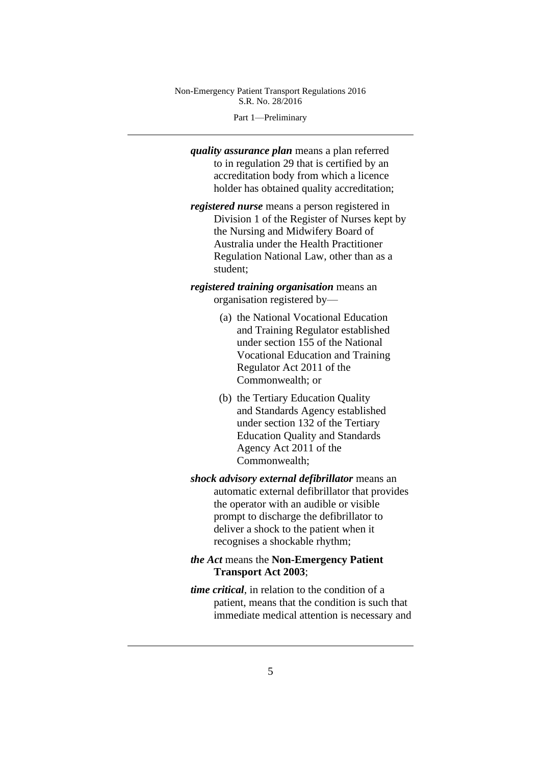Part 1—Preliminary

*quality assurance plan* means a plan referred to in regulation 29 that is certified by an accreditation body from which a licence holder has obtained quality accreditation;

*registered nurse* means a person registered in Division 1 of the Register of Nurses kept by the Nursing and Midwifery Board of Australia under the Health Practitioner Regulation National Law, other than as a student;

*registered training organisation* means an organisation registered by—

- (a) the National Vocational Education and Training Regulator established under section 155 of the National Vocational Education and Training Regulator Act 2011 of the Commonwealth; or
- (b) the Tertiary Education Quality and Standards Agency established under section 132 of the Tertiary Education Quality and Standards Agency Act 2011 of the Commonwealth;
- *shock advisory external defibrillator* means an automatic external defibrillator that provides the operator with an audible or visible prompt to discharge the defibrillator to deliver a shock to the patient when it recognises a shockable rhythm;

# *the Act* means the **Non-Emergency Patient Transport Act 2003**;

*time critical*, in relation to the condition of a patient, means that the condition is such that immediate medical attention is necessary and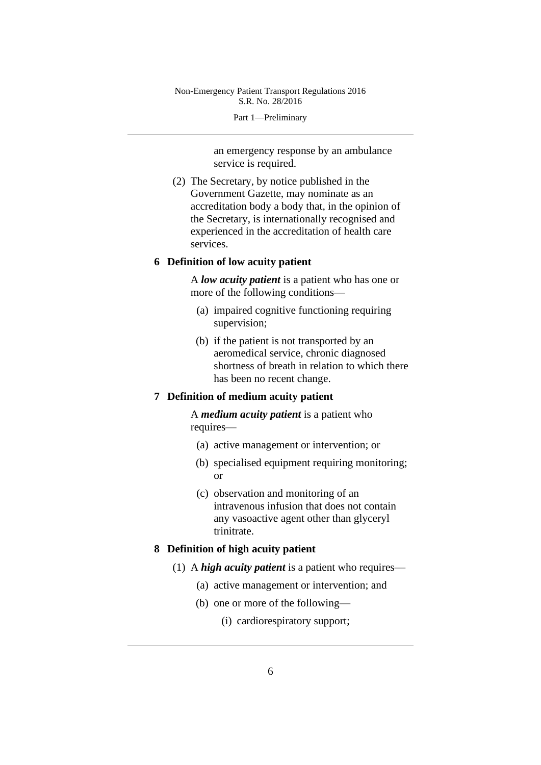Part 1—Preliminary

an emergency response by an ambulance service is required.

(2) The Secretary, by notice published in the Government Gazette, may nominate as an accreditation body a body that, in the opinion of the Secretary, is internationally recognised and experienced in the accreditation of health care services.

### **6 Definition of low acuity patient**

A *low acuity patient* is a patient who has one or more of the following conditions—

- (a) impaired cognitive functioning requiring supervision;
- (b) if the patient is not transported by an aeromedical service, chronic diagnosed shortness of breath in relation to which there has been no recent change.

# **7 Definition of medium acuity patient**

A *medium acuity patient* is a patient who requires—

- (a) active management or intervention; or
- (b) specialised equipment requiring monitoring; or
- (c) observation and monitoring of an intravenous infusion that does not contain any vasoactive agent other than glyceryl trinitrate.

## **8 Definition of high acuity patient**

- (1) A *high acuity patient* is a patient who requires—
	- (a) active management or intervention; and
	- (b) one or more of the following—
		- (i) cardiorespiratory support;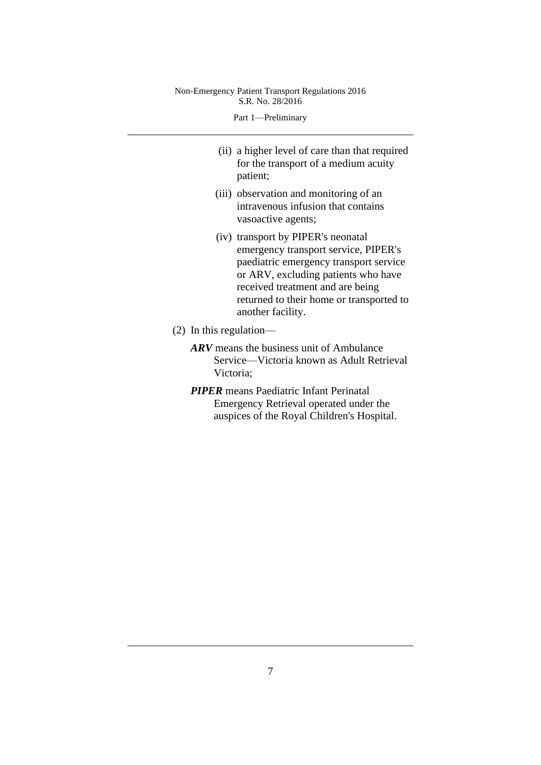Part 1—Preliminary

- (ii) a higher level of care than that required for the transport of a medium acuity patient;
- (iii) observation and monitoring of an intravenous infusion that contains vasoactive agents;
- (iv) transport by PIPER's neonatal emergency transport service, PIPER's paediatric emergency transport service or ARV, excluding patients who have received treatment and are being returned to their home or transported to another facility.
- (2) In this regulation—
	- *ARV* means the business unit of Ambulance Service—Victoria known as Adult Retrieval Victoria;
	- *PIPER* means Paediatric Infant Perinatal Emergency Retrieval operated under the auspices of the Royal Children's Hospital.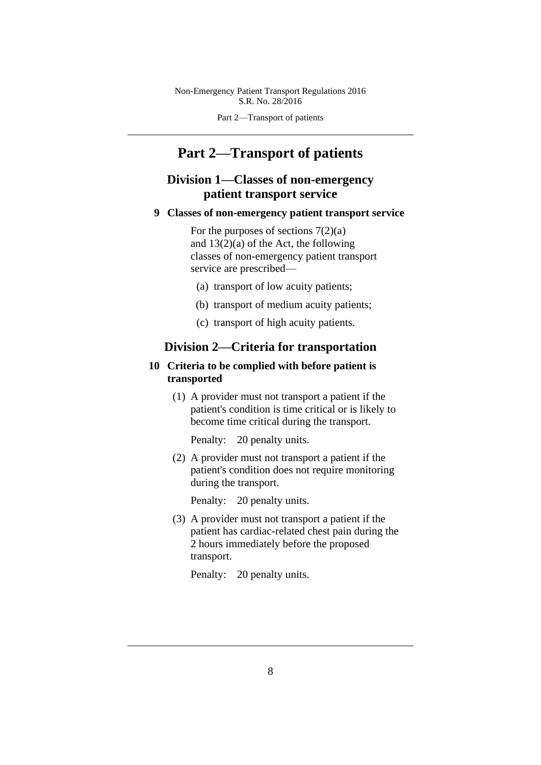Part 2—Transport of patients

# **Part 2—Transport of patients**

# **Division 1—Classes of non-emergency patient transport service**

**9 Classes of non-emergency patient transport service**

For the purposes of sections  $7(2)(a)$ and 13(2)(a) of the Act, the following classes of non-emergency patient transport service are prescribed—

- (a) transport of low acuity patients;
- (b) transport of medium acuity patients;
- (c) transport of high acuity patients.

# **Division 2—Criteria for transportation**

# **10 Criteria to be complied with before patient is transported**

(1) A provider must not transport a patient if the patient's condition is time critical or is likely to become time critical during the transport.

Penalty: 20 penalty units.

(2) A provider must not transport a patient if the patient's condition does not require monitoring during the transport.

Penalty: 20 penalty units.

(3) A provider must not transport a patient if the patient has cardiac-related chest pain during the 2 hours immediately before the proposed transport.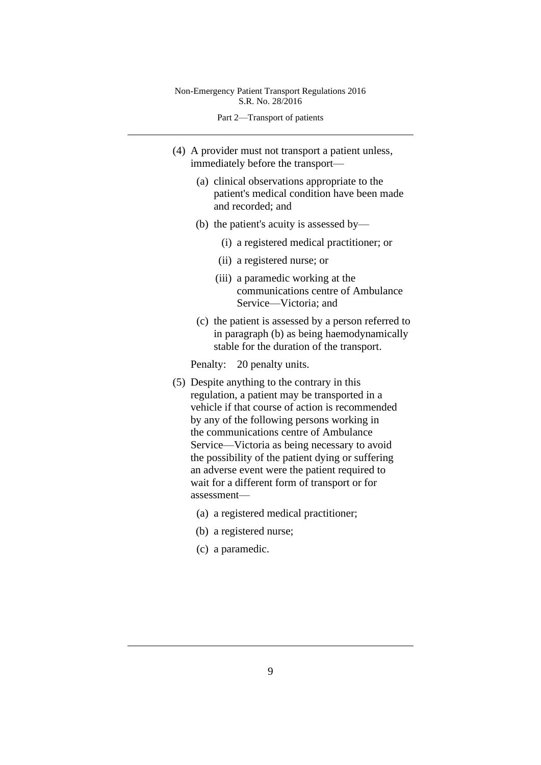- (4) A provider must not transport a patient unless, immediately before the transport—
	- (a) clinical observations appropriate to the patient's medical condition have been made and recorded; and
	- (b) the patient's acuity is assessed by—
		- (i) a registered medical practitioner; or
		- (ii) a registered nurse; or
		- (iii) a paramedic working at the communications centre of Ambulance Service—Victoria; and
	- (c) the patient is assessed by a person referred to in paragraph (b) as being haemodynamically stable for the duration of the transport.

- (5) Despite anything to the contrary in this regulation, a patient may be transported in a vehicle if that course of action is recommended by any of the following persons working in the communications centre of Ambulance Service—Victoria as being necessary to avoid the possibility of the patient dying or suffering an adverse event were the patient required to wait for a different form of transport or for assessment—
	- (a) a registered medical practitioner;
	- (b) a registered nurse;
	- (c) a paramedic.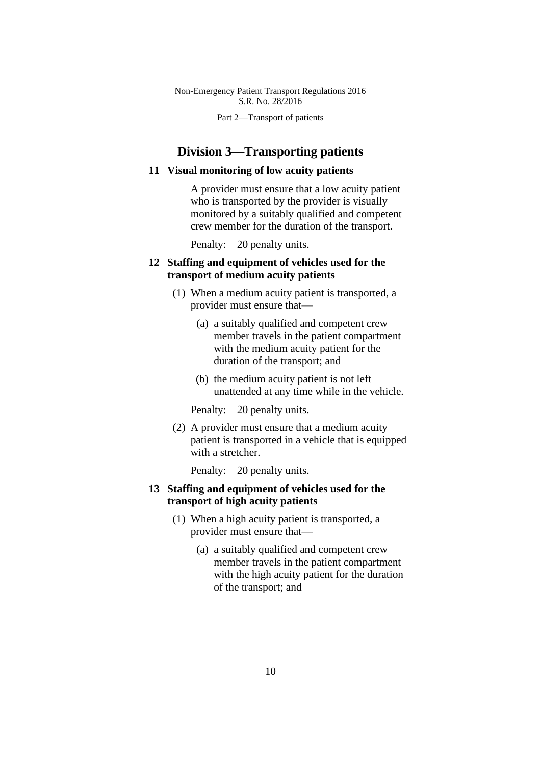Part 2—Transport of patients

# **Division 3—Transporting patients**

#### **11 Visual monitoring of low acuity patients**

A provider must ensure that a low acuity patient who is transported by the provider is visually monitored by a suitably qualified and competent crew member for the duration of the transport.

Penalty: 20 penalty units.

## **12 Staffing and equipment of vehicles used for the transport of medium acuity patients**

- (1) When a medium acuity patient is transported, a provider must ensure that—
	- (a) a suitably qualified and competent crew member travels in the patient compartment with the medium acuity patient for the duration of the transport; and
	- (b) the medium acuity patient is not left unattended at any time while in the vehicle.

Penalty: 20 penalty units.

(2) A provider must ensure that a medium acuity patient is transported in a vehicle that is equipped with a stretcher.

Penalty: 20 penalty units.

# **13 Staffing and equipment of vehicles used for the transport of high acuity patients**

- (1) When a high acuity patient is transported, a provider must ensure that—
	- (a) a suitably qualified and competent crew member travels in the patient compartment with the high acuity patient for the duration of the transport; and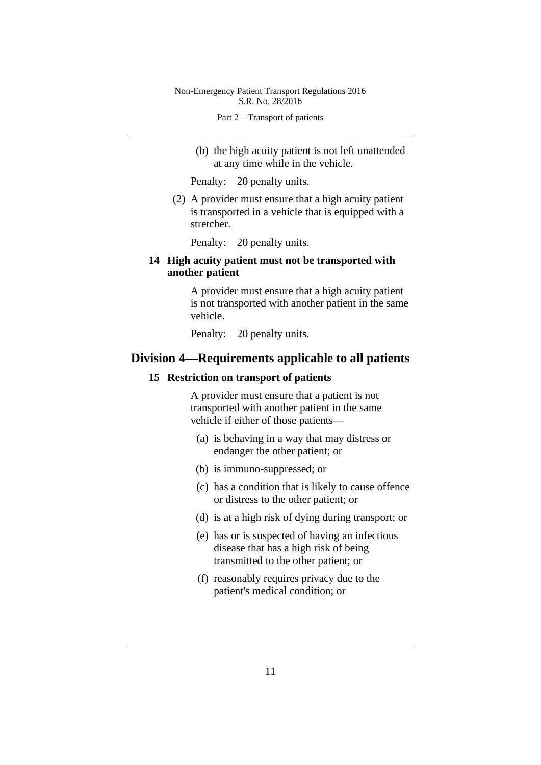(b) the high acuity patient is not left unattended at any time while in the vehicle.

Penalty: 20 penalty units.

(2) A provider must ensure that a high acuity patient is transported in a vehicle that is equipped with a stretcher.

Penalty: 20 penalty units.

# **14 High acuity patient must not be transported with another patient**

A provider must ensure that a high acuity patient is not transported with another patient in the same vehicle.

Penalty: 20 penalty units.

# **Division 4—Requirements applicable to all patients**

#### **15 Restriction on transport of patients**

A provider must ensure that a patient is not transported with another patient in the same vehicle if either of those patients—

- (a) is behaving in a way that may distress or endanger the other patient; or
- (b) is immuno-suppressed; or
- (c) has a condition that is likely to cause offence or distress to the other patient; or
- (d) is at a high risk of dying during transport; or
- (e) has or is suspected of having an infectious disease that has a high risk of being transmitted to the other patient; or
- (f) reasonably requires privacy due to the patient's medical condition; or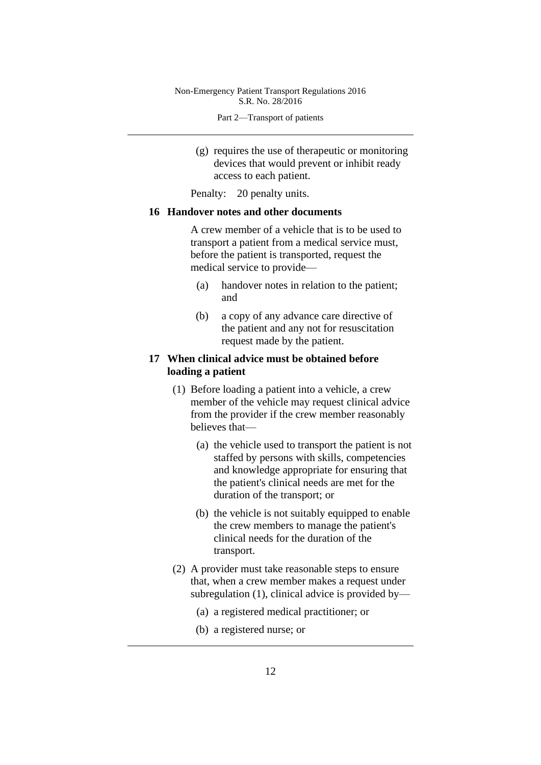- (g) requires the use of therapeutic or monitoring devices that would prevent or inhibit ready access to each patient.
- Penalty: 20 penalty units.

#### **16 Handover notes and other documents**

A crew member of a vehicle that is to be used to transport a patient from a medical service must, before the patient is transported, request the medical service to provide—

- (a) handover notes in relation to the patient; and
- (b) a copy of any advance care directive of the patient and any not for resuscitation request made by the patient.

## **17 When clinical advice must be obtained before loading a patient**

- (1) Before loading a patient into a vehicle, a crew member of the vehicle may request clinical advice from the provider if the crew member reasonably believes that—
	- (a) the vehicle used to transport the patient is not staffed by persons with skills, competencies and knowledge appropriate for ensuring that the patient's clinical needs are met for the duration of the transport; or
	- (b) the vehicle is not suitably equipped to enable the crew members to manage the patient's clinical needs for the duration of the transport.
- (2) A provider must take reasonable steps to ensure that, when a crew member makes a request under subregulation (1), clinical advice is provided by—
	- (a) a registered medical practitioner; or
	- (b) a registered nurse; or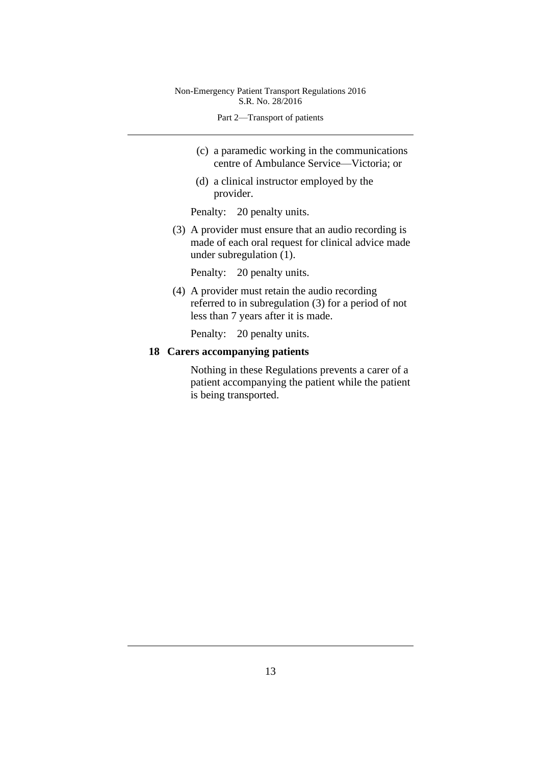- (c) a paramedic working in the communications centre of Ambulance Service—Victoria; or
- (d) a clinical instructor employed by the provider.

Penalty: 20 penalty units.

(3) A provider must ensure that an audio recording is made of each oral request for clinical advice made under subregulation (1).

Penalty: 20 penalty units.

(4) A provider must retain the audio recording referred to in subregulation (3) for a period of not less than 7 years after it is made.

Penalty: 20 penalty units.

## **18 Carers accompanying patients**

Nothing in these Regulations prevents a carer of a patient accompanying the patient while the patient is being transported.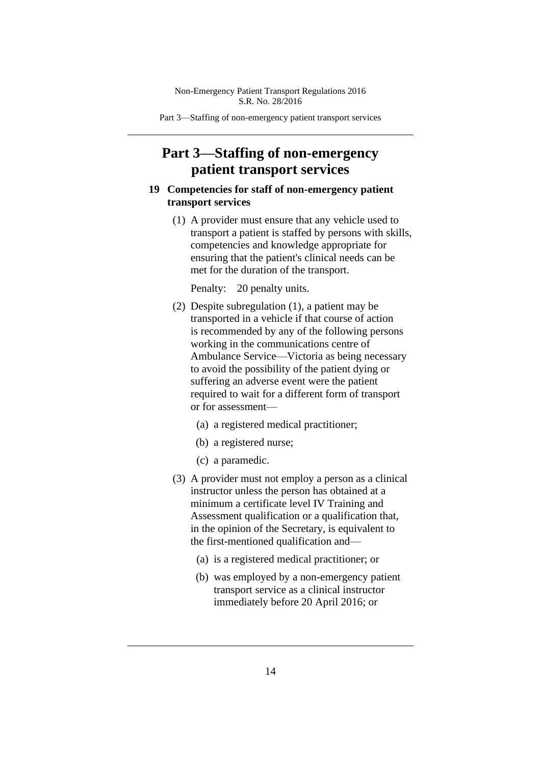Part 3—Staffing of non-emergency patient transport services

# **Part 3—Staffing of non-emergency patient transport services**

# **19 Competencies for staff of non-emergency patient transport services**

(1) A provider must ensure that any vehicle used to transport a patient is staffed by persons with skills, competencies and knowledge appropriate for ensuring that the patient's clinical needs can be met for the duration of the transport.

- (2) Despite subregulation (1), a patient may be transported in a vehicle if that course of action is recommended by any of the following persons working in the communications centre of Ambulance Service—Victoria as being necessary to avoid the possibility of the patient dying or suffering an adverse event were the patient required to wait for a different form of transport or for assessment—
	- (a) a registered medical practitioner;
	- (b) a registered nurse;
	- (c) a paramedic.
- (3) A provider must not employ a person as a clinical instructor unless the person has obtained at a minimum a certificate level IV Training and Assessment qualification or a qualification that, in the opinion of the Secretary, is equivalent to the first-mentioned qualification and—
	- (a) is a registered medical practitioner; or
	- (b) was employed by a non-emergency patient transport service as a clinical instructor immediately before 20 April 2016; or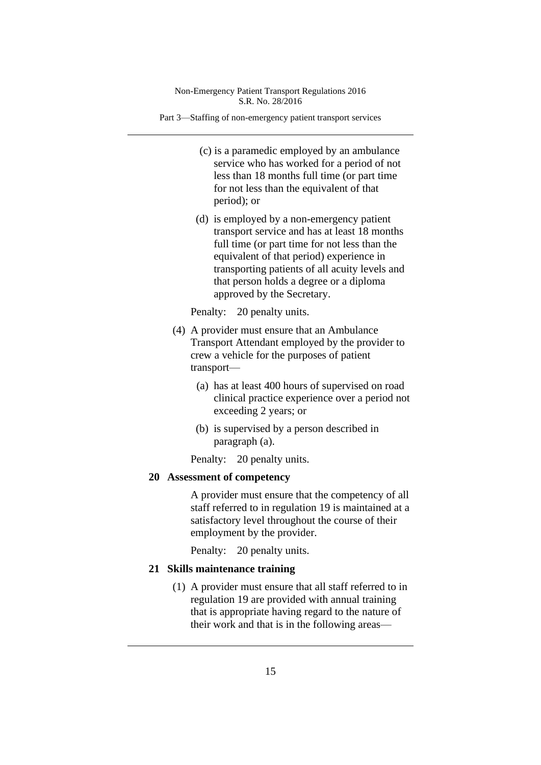Part 3—Staffing of non-emergency patient transport services

- (c) is a paramedic employed by an ambulance service who has worked for a period of not less than 18 months full time (or part time for not less than the equivalent of that period); or
- (d) is employed by a non-emergency patient transport service and has at least 18 months full time (or part time for not less than the equivalent of that period) experience in transporting patients of all acuity levels and that person holds a degree or a diploma approved by the Secretary.

Penalty: 20 penalty units.

- (4) A provider must ensure that an Ambulance Transport Attendant employed by the provider to crew a vehicle for the purposes of patient transport—
	- (a) has at least 400 hours of supervised on road clinical practice experience over a period not exceeding 2 years; or
	- (b) is supervised by a person described in paragraph (a).

Penalty: 20 penalty units.

## **20 Assessment of competency**

A provider must ensure that the competency of all staff referred to in regulation 19 is maintained at a satisfactory level throughout the course of their employment by the provider.

Penalty: 20 penalty units.

#### **21 Skills maintenance training**

(1) A provider must ensure that all staff referred to in regulation 19 are provided with annual training that is appropriate having regard to the nature of their work and that is in the following areas—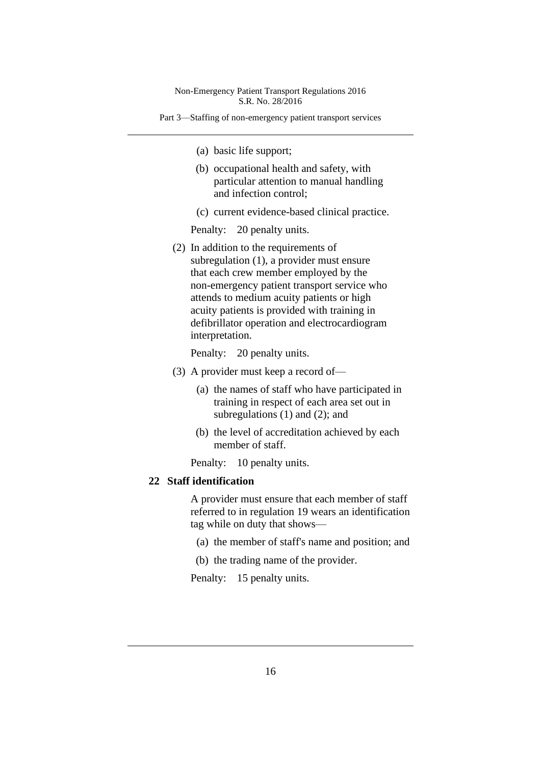Part 3—Staffing of non-emergency patient transport services

- (a) basic life support;
- (b) occupational health and safety, with particular attention to manual handling and infection control;
- (c) current evidence-based clinical practice.

Penalty: 20 penalty units.

(2) In addition to the requirements of subregulation (1), a provider must ensure that each crew member employed by the non-emergency patient transport service who attends to medium acuity patients or high acuity patients is provided with training in defibrillator operation and electrocardiogram interpretation.

Penalty: 20 penalty units.

- (3) A provider must keep a record of—
	- (a) the names of staff who have participated in training in respect of each area set out in subregulations (1) and (2); and
	- (b) the level of accreditation achieved by each member of staff.
	- Penalty: 10 penalty units.

## **22 Staff identification**

A provider must ensure that each member of staff referred to in regulation 19 wears an identification tag while on duty that shows—

- (a) the member of staff's name and position; and
- (b) the trading name of the provider.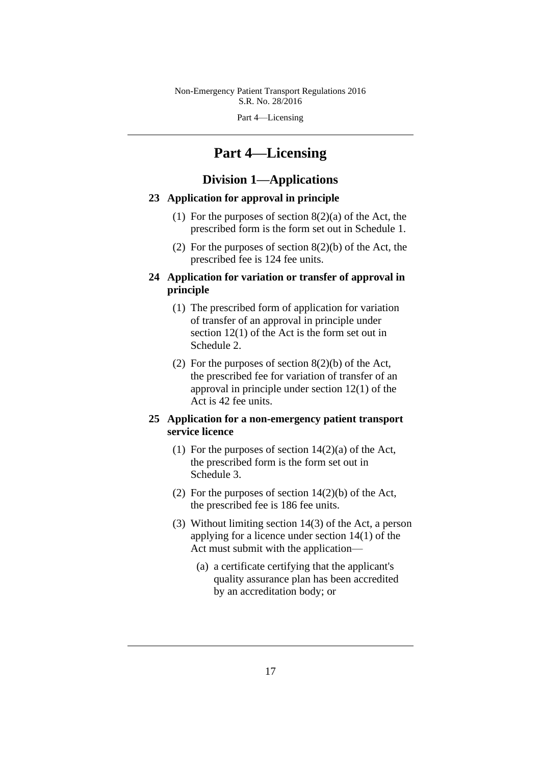Part 4—Licensing

# **Part 4—Licensing**

# **Division 1—Applications**

### **23 Application for approval in principle**

- (1) For the purposes of section  $8(2)(a)$  of the Act, the prescribed form is the form set out in Schedule 1.
- (2) For the purposes of section 8(2)(b) of the Act, the prescribed fee is 124 fee units.

# **24 Application for variation or transfer of approval in principle**

- (1) The prescribed form of application for variation of transfer of an approval in principle under section 12(1) of the Act is the form set out in Schedule 2.
- (2) For the purposes of section 8(2)(b) of the Act, the prescribed fee for variation of transfer of an approval in principle under section 12(1) of the Act is 42 fee units.

## **25 Application for a non-emergency patient transport service licence**

- (1) For the purposes of section  $14(2)(a)$  of the Act, the prescribed form is the form set out in Schedule 3.
- (2) For the purposes of section 14(2)(b) of the Act, the prescribed fee is 186 fee units.
- (3) Without limiting section 14(3) of the Act, a person applying for a licence under section 14(1) of the Act must submit with the application—
	- (a) a certificate certifying that the applicant's quality assurance plan has been accredited by an accreditation body; or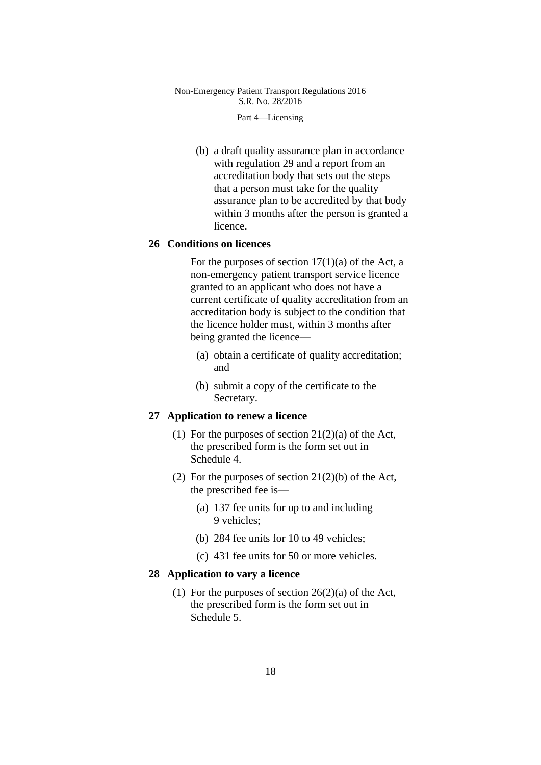Part 4—Licensing

(b) a draft quality assurance plan in accordance with regulation 29 and a report from an accreditation body that sets out the steps that a person must take for the quality assurance plan to be accredited by that body within 3 months after the person is granted a licence.

## **26 Conditions on licences**

For the purposes of section  $17(1)(a)$  of the Act, a non-emergency patient transport service licence granted to an applicant who does not have a current certificate of quality accreditation from an accreditation body is subject to the condition that the licence holder must, within 3 months after being granted the licence—

- (a) obtain a certificate of quality accreditation; and
- (b) submit a copy of the certificate to the Secretary.

#### **27 Application to renew a licence**

- (1) For the purposes of section  $21(2)(a)$  of the Act, the prescribed form is the form set out in Schedule 4.
- (2) For the purposes of section 21(2)(b) of the Act, the prescribed fee is—
	- (a) 137 fee units for up to and including 9 vehicles;
	- (b) 284 fee units for 10 to 49 vehicles;
	- (c) 431 fee units for 50 or more vehicles.

#### **28 Application to vary a licence**

(1) For the purposes of section  $26(2)(a)$  of the Act, the prescribed form is the form set out in Schedule 5.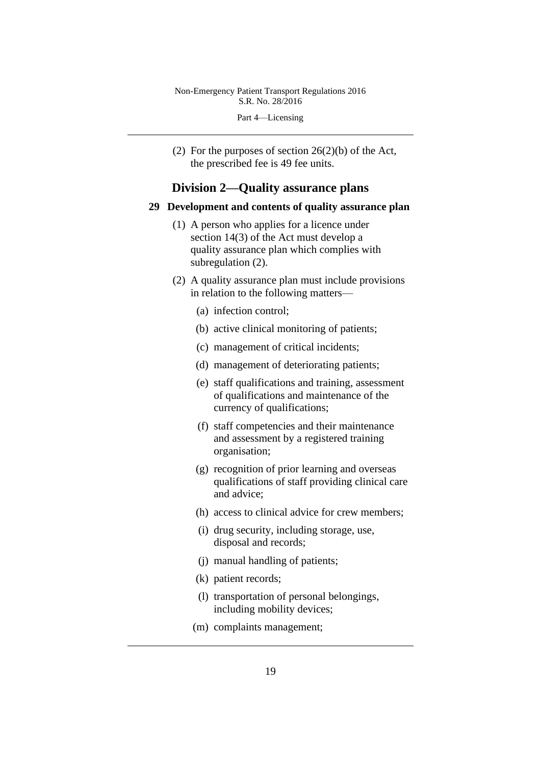Part 4—Licensing

(2) For the purposes of section  $26(2)(b)$  of the Act, the prescribed fee is 49 fee units.

# **Division 2—Quality assurance plans**

#### **29 Development and contents of quality assurance plan**

- (1) A person who applies for a licence under section 14(3) of the Act must develop a quality assurance plan which complies with subregulation (2).
- (2) A quality assurance plan must include provisions in relation to the following matters—
	- (a) infection control;
	- (b) active clinical monitoring of patients;
	- (c) management of critical incidents;
	- (d) management of deteriorating patients;
	- (e) staff qualifications and training, assessment of qualifications and maintenance of the currency of qualifications;
	- (f) staff competencies and their maintenance and assessment by a registered training organisation;
	- (g) recognition of prior learning and overseas qualifications of staff providing clinical care and advice;
	- (h) access to clinical advice for crew members;
	- (i) drug security, including storage, use, disposal and records;
	- (j) manual handling of patients;
	- (k) patient records;
	- (l) transportation of personal belongings, including mobility devices;
	- (m) complaints management;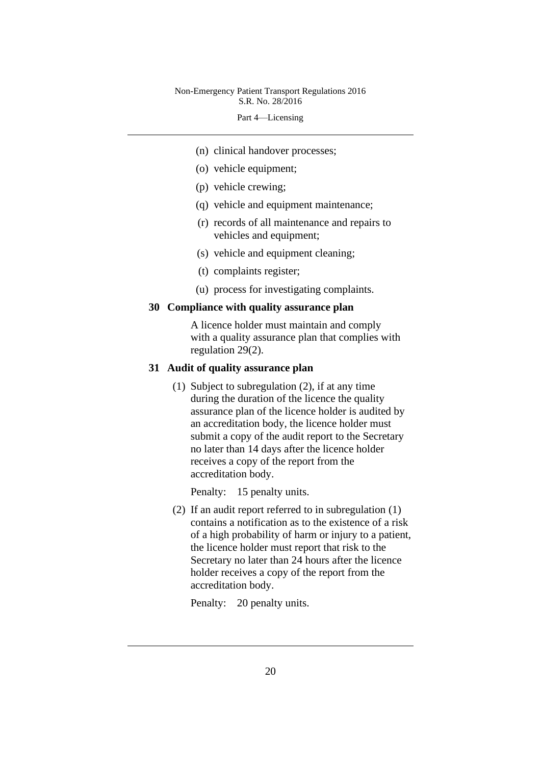Part 4—Licensing

- (n) clinical handover processes;
- (o) vehicle equipment;
- (p) vehicle crewing;
- (q) vehicle and equipment maintenance;
- (r) records of all maintenance and repairs to vehicles and equipment;
- (s) vehicle and equipment cleaning;
- (t) complaints register;
- (u) process for investigating complaints.

### **30 Compliance with quality assurance plan**

A licence holder must maintain and comply with a quality assurance plan that complies with regulation 29(2).

# **31 Audit of quality assurance plan**

(1) Subject to subregulation (2), if at any time during the duration of the licence the quality assurance plan of the licence holder is audited by an accreditation body, the licence holder must submit a copy of the audit report to the Secretary no later than 14 days after the licence holder receives a copy of the report from the accreditation body.

Penalty: 15 penalty units.

(2) If an audit report referred to in subregulation (1) contains a notification as to the existence of a risk of a high probability of harm or injury to a patient, the licence holder must report that risk to the Secretary no later than 24 hours after the licence holder receives a copy of the report from the accreditation body.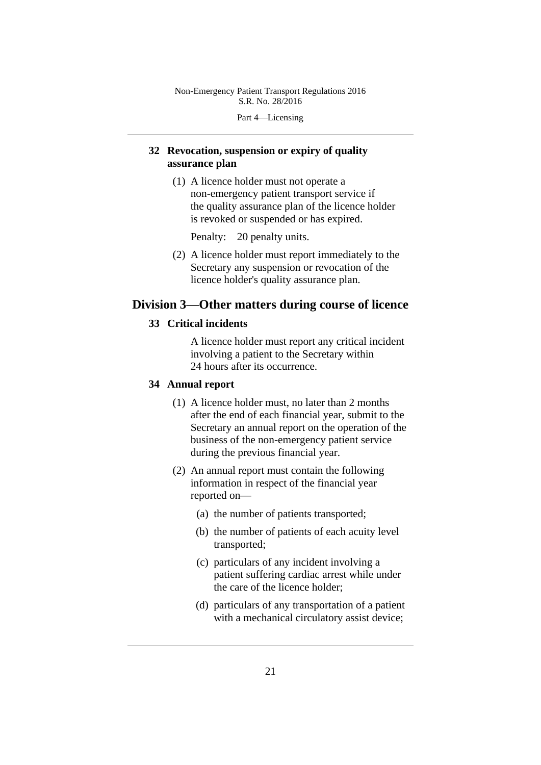Part 4—Licensing

# **32 Revocation, suspension or expiry of quality assurance plan**

(1) A licence holder must not operate a non-emergency patient transport service if the quality assurance plan of the licence holder is revoked or suspended or has expired.

Penalty: 20 penalty units.

(2) A licence holder must report immediately to the Secretary any suspension or revocation of the licence holder's quality assurance plan.

# **Division 3—Other matters during course of licence**

# **33 Critical incidents**

A licence holder must report any critical incident involving a patient to the Secretary within 24 hours after its occurrence.

# **34 Annual report**

- (1) A licence holder must, no later than 2 months after the end of each financial year, submit to the Secretary an annual report on the operation of the business of the non-emergency patient service during the previous financial year.
- (2) An annual report must contain the following information in respect of the financial year reported on—
	- (a) the number of patients transported;
	- (b) the number of patients of each acuity level transported;
	- (c) particulars of any incident involving a patient suffering cardiac arrest while under the care of the licence holder;
	- (d) particulars of any transportation of a patient with a mechanical circulatory assist device;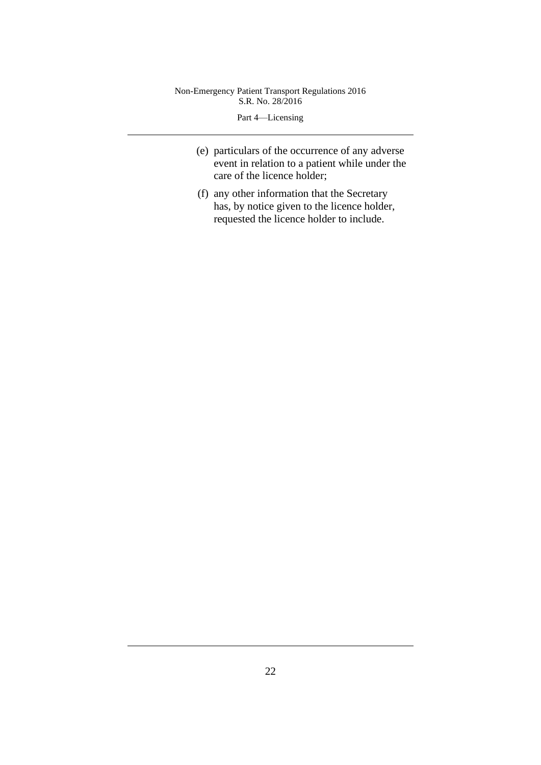Part 4—Licensing

- (e) particulars of the occurrence of any adverse event in relation to a patient while under the care of the licence holder;
- (f) any other information that the Secretary has, by notice given to the licence holder, requested the licence holder to include.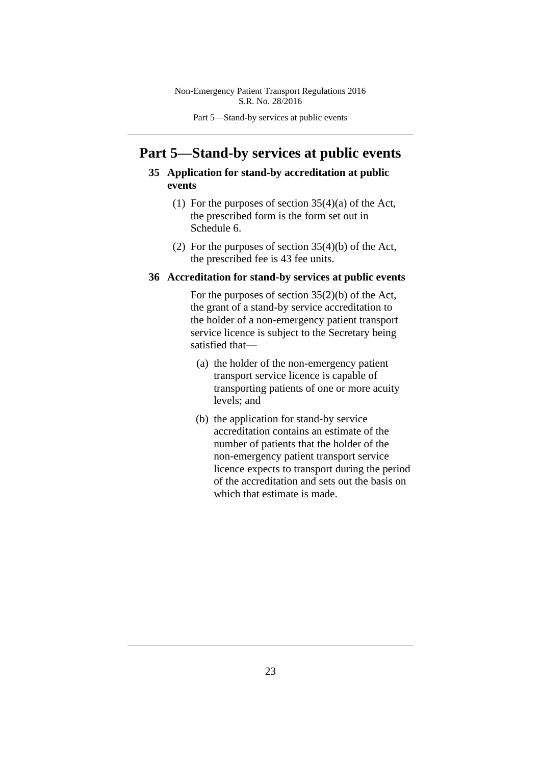Part 5—Stand-by services at public events

# **Part 5—Stand-by services at public events**

## **35 Application for stand-by accreditation at public events**

- (1) For the purposes of section 35(4)(a) of the Act, the prescribed form is the form set out in Schedule 6.
- (2) For the purposes of section 35(4)(b) of the Act, the prescribed fee is 43 fee units.

### **36 Accreditation for stand-by services at public events**

For the purposes of section 35(2)(b) of the Act, the grant of a stand-by service accreditation to the holder of a non-emergency patient transport service licence is subject to the Secretary being satisfied that—

- (a) the holder of the non-emergency patient transport service licence is capable of transporting patients of one or more acuity levels; and
- (b) the application for stand-by service accreditation contains an estimate of the number of patients that the holder of the non-emergency patient transport service licence expects to transport during the period of the accreditation and sets out the basis on which that estimate is made.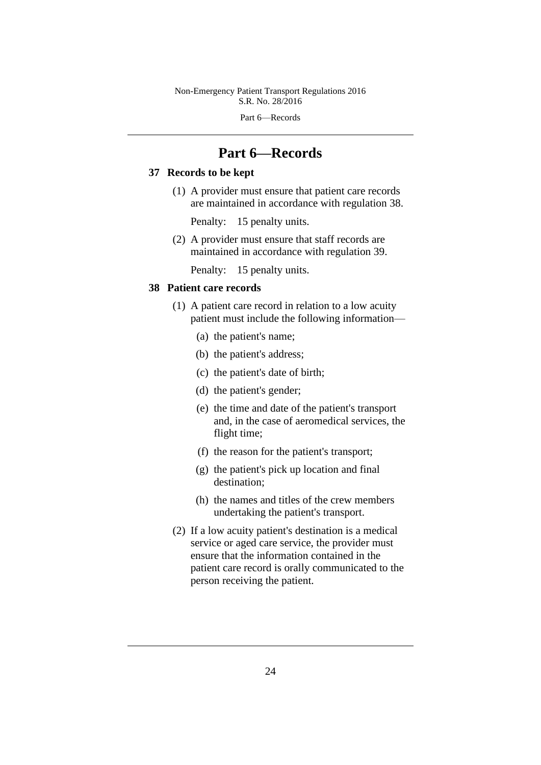Part 6—Records

# **Part 6—Records**

# **37 Records to be kept**

(1) A provider must ensure that patient care records are maintained in accordance with regulation 38.

Penalty: 15 penalty units.

(2) A provider must ensure that staff records are maintained in accordance with regulation 39.

Penalty: 15 penalty units.

### **38 Patient care records**

- (1) A patient care record in relation to a low acuity patient must include the following information—
	- (a) the patient's name;
	- (b) the patient's address;
	- (c) the patient's date of birth;
	- (d) the patient's gender;
	- (e) the time and date of the patient's transport and, in the case of aeromedical services, the flight time;
	- (f) the reason for the patient's transport;
	- (g) the patient's pick up location and final destination;
	- (h) the names and titles of the crew members undertaking the patient's transport.
- (2) If a low acuity patient's destination is a medical service or aged care service, the provider must ensure that the information contained in the patient care record is orally communicated to the person receiving the patient.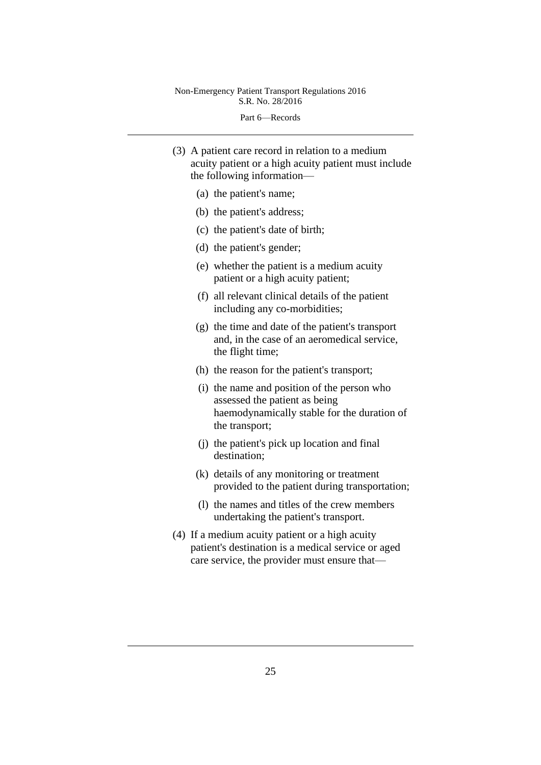Part 6—Records

- (3) A patient care record in relation to a medium acuity patient or a high acuity patient must include the following information—
	- (a) the patient's name;
	- (b) the patient's address;
	- (c) the patient's date of birth;
	- (d) the patient's gender;
	- (e) whether the patient is a medium acuity patient or a high acuity patient;
	- (f) all relevant clinical details of the patient including any co-morbidities;
	- (g) the time and date of the patient's transport and, in the case of an aeromedical service, the flight time;
	- (h) the reason for the patient's transport;
	- (i) the name and position of the person who assessed the patient as being haemodynamically stable for the duration of the transport;
	- (j) the patient's pick up location and final destination;
	- (k) details of any monitoring or treatment provided to the patient during transportation;
	- (l) the names and titles of the crew members undertaking the patient's transport.
- (4) If a medium acuity patient or a high acuity patient's destination is a medical service or aged care service, the provider must ensure that—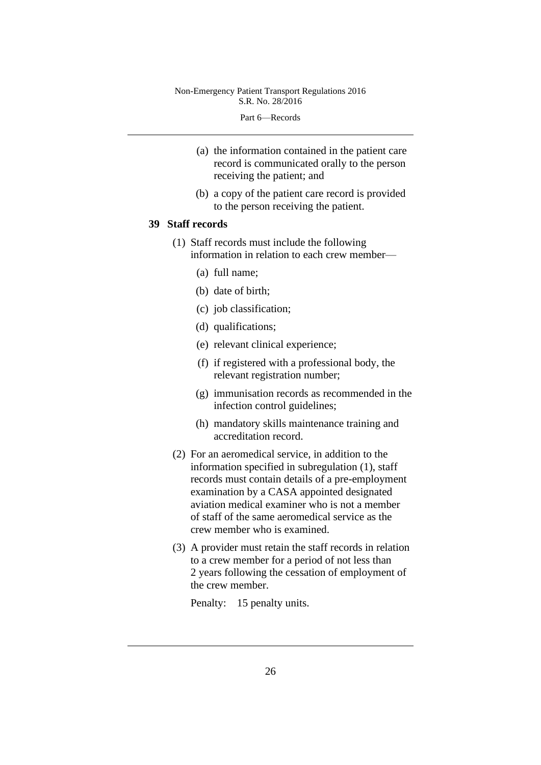#### Part 6—Records

- (a) the information contained in the patient care record is communicated orally to the person receiving the patient; and
- (b) a copy of the patient care record is provided to the person receiving the patient.

#### **39 Staff records**

- (1) Staff records must include the following information in relation to each crew member—
	- (a) full name;
	- (b) date of birth;
	- (c) job classification;
	- (d) qualifications;
	- (e) relevant clinical experience;
	- (f) if registered with a professional body, the relevant registration number;
	- (g) immunisation records as recommended in the infection control guidelines;
	- (h) mandatory skills maintenance training and accreditation record.
- (2) For an aeromedical service, in addition to the information specified in subregulation (1), staff records must contain details of a pre-employment examination by a CASA appointed designated aviation medical examiner who is not a member of staff of the same aeromedical service as the crew member who is examined.
- (3) A provider must retain the staff records in relation to a crew member for a period of not less than 2 years following the cessation of employment of the crew member.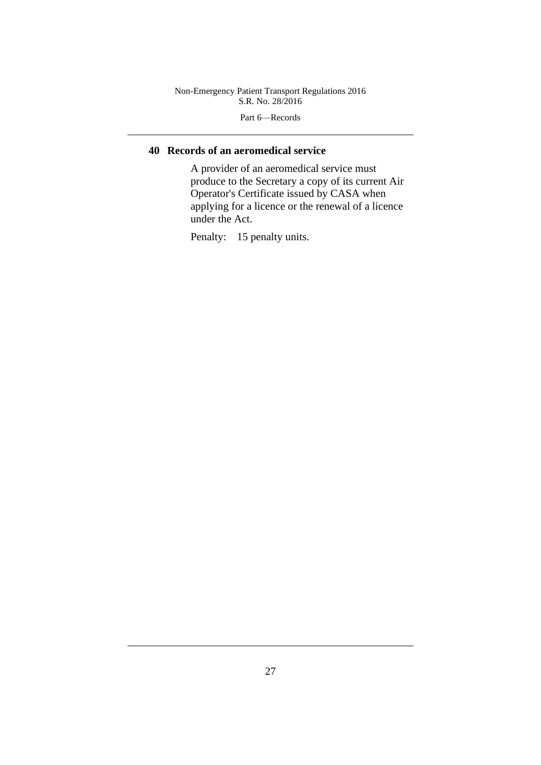Part 6—Records

# **40 Records of an aeromedical service**

A provider of an aeromedical service must produce to the Secretary a copy of its current Air Operator's Certificate issued by CASA when applying for a licence or the renewal of a licence under the Act.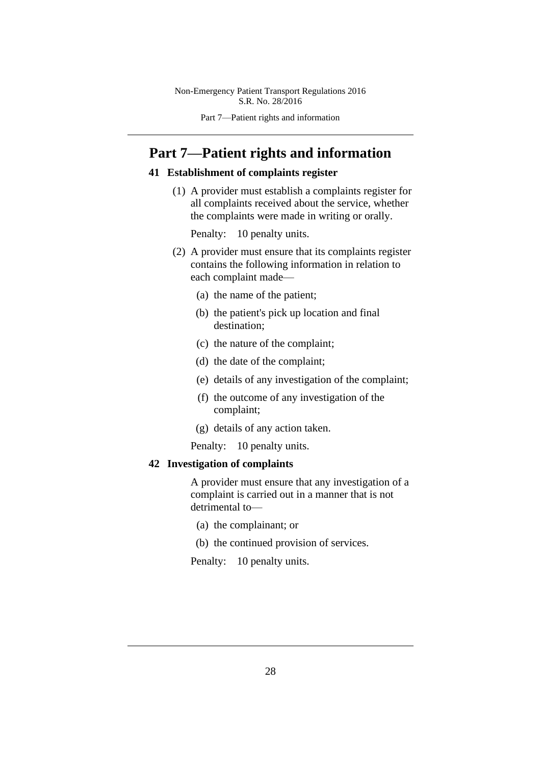Part 7—Patient rights and information

# **Part 7—Patient rights and information**

## **41 Establishment of complaints register**

(1) A provider must establish a complaints register for all complaints received about the service, whether the complaints were made in writing or orally.

Penalty: 10 penalty units.

- (2) A provider must ensure that its complaints register contains the following information in relation to each complaint made—
	- (a) the name of the patient;
	- (b) the patient's pick up location and final destination;
	- (c) the nature of the complaint;
	- (d) the date of the complaint;
	- (e) details of any investigation of the complaint;
	- (f) the outcome of any investigation of the complaint;
	- (g) details of any action taken.
	- Penalty: 10 penalty units.

#### **42 Investigation of complaints**

A provider must ensure that any investigation of a complaint is carried out in a manner that is not detrimental to—

- (a) the complainant; or
- (b) the continued provision of services.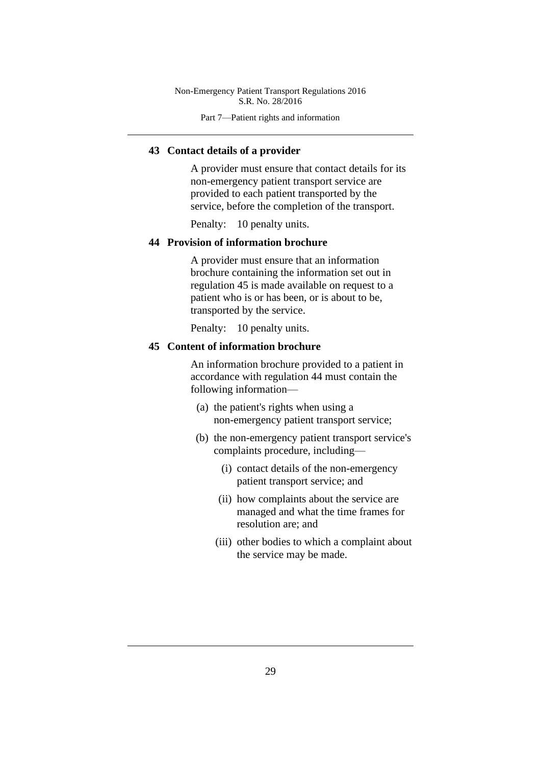Part 7—Patient rights and information

#### **43 Contact details of a provider**

A provider must ensure that contact details for its non-emergency patient transport service are provided to each patient transported by the service, before the completion of the transport.

Penalty: 10 penalty units.

#### **44 Provision of information brochure**

A provider must ensure that an information brochure containing the information set out in regulation 45 is made available on request to a patient who is or has been, or is about to be, transported by the service.

Penalty: 10 penalty units.

#### **45 Content of information brochure**

An information brochure provided to a patient in accordance with regulation 44 must contain the following information—

- (a) the patient's rights when using a non-emergency patient transport service;
- (b) the non-emergency patient transport service's complaints procedure, including—
	- (i) contact details of the non-emergency patient transport service; and
	- (ii) how complaints about the service are managed and what the time frames for resolution are; and
	- (iii) other bodies to which a complaint about the service may be made.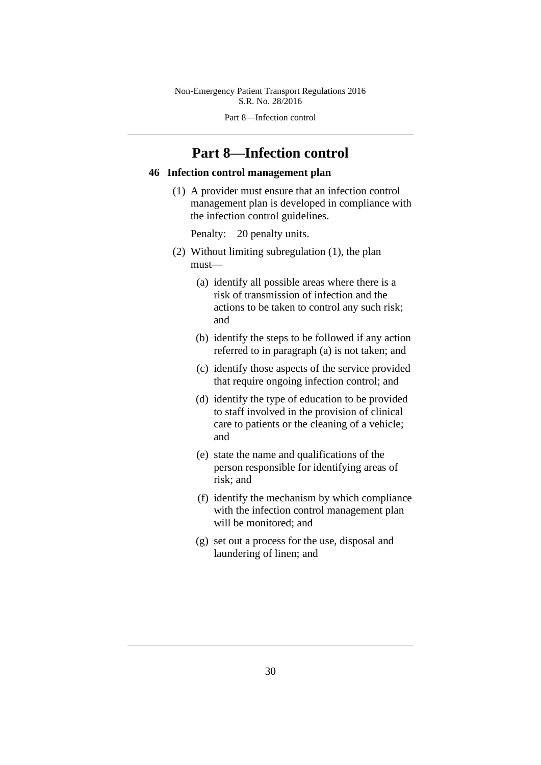Part 8—Infection control

# **Part 8—Infection control**

#### **46 Infection control management plan**

(1) A provider must ensure that an infection control management plan is developed in compliance with the infection control guidelines.

- (2) Without limiting subregulation (1), the plan must—
	- (a) identify all possible areas where there is a risk of transmission of infection and the actions to be taken to control any such risk; and
	- (b) identify the steps to be followed if any action referred to in paragraph (a) is not taken; and
	- (c) identify those aspects of the service provided that require ongoing infection control; and
	- (d) identify the type of education to be provided to staff involved in the provision of clinical care to patients or the cleaning of a vehicle; and
	- (e) state the name and qualifications of the person responsible for identifying areas of risk; and
	- (f) identify the mechanism by which compliance with the infection control management plan will be monitored; and
	- (g) set out a process for the use, disposal and laundering of linen; and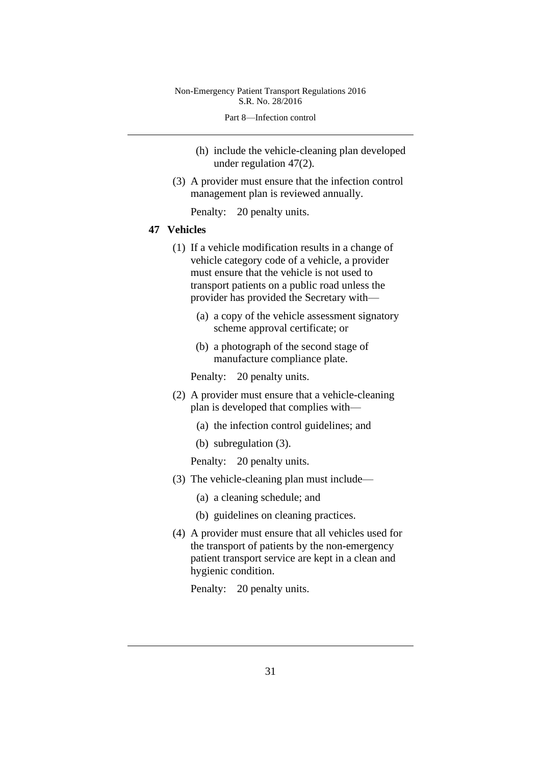Part 8—Infection control

- (h) include the vehicle-cleaning plan developed under regulation 47(2).
- (3) A provider must ensure that the infection control management plan is reviewed annually.

Penalty: 20 penalty units.

#### **47 Vehicles**

- (1) If a vehicle modification results in a change of vehicle category code of a vehicle, a provider must ensure that the vehicle is not used to transport patients on a public road unless the provider has provided the Secretary with—
	- (a) a copy of the vehicle assessment signatory scheme approval certificate; or
	- (b) a photograph of the second stage of manufacture compliance plate.

Penalty: 20 penalty units.

- (2) A provider must ensure that a vehicle-cleaning plan is developed that complies with—
	- (a) the infection control guidelines; and
	- (b) subregulation (3).

Penalty: 20 penalty units.

- (3) The vehicle-cleaning plan must include—
	- (a) a cleaning schedule; and
	- (b) guidelines on cleaning practices.
- (4) A provider must ensure that all vehicles used for the transport of patients by the non-emergency patient transport service are kept in a clean and hygienic condition.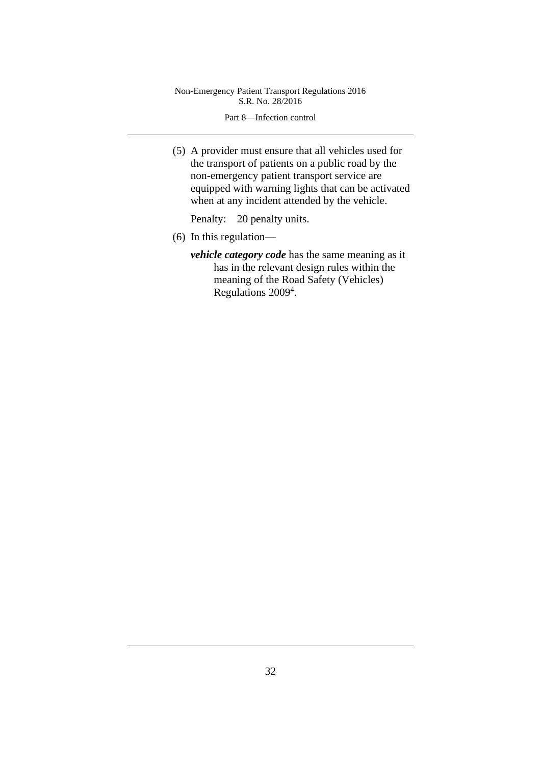Part 8—Infection control

(5) A provider must ensure that all vehicles used for the transport of patients on a public road by the non-emergency patient transport service are equipped with warning lights that can be activated when at any incident attended by the vehicle.

- (6) In this regulation
	- *vehicle category code* has the same meaning as it has in the relevant design rules within the meaning of the Road Safety (Vehicles) Regulations 2009<sup>4</sup>.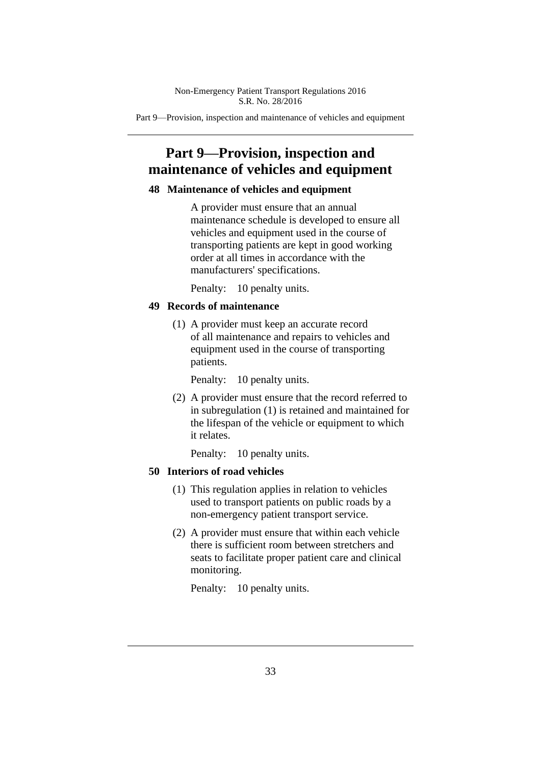Part 9—Provision, inspection and maintenance of vehicles and equipment

# **Part 9—Provision, inspection and maintenance of vehicles and equipment**

#### **48 Maintenance of vehicles and equipment**

A provider must ensure that an annual maintenance schedule is developed to ensure all vehicles and equipment used in the course of transporting patients are kept in good working order at all times in accordance with the manufacturers' specifications.

Penalty: 10 penalty units.

#### **49 Records of maintenance**

(1) A provider must keep an accurate record of all maintenance and repairs to vehicles and equipment used in the course of transporting patients.

Penalty: 10 penalty units.

(2) A provider must ensure that the record referred to in subregulation (1) is retained and maintained for the lifespan of the vehicle or equipment to which it relates.

Penalty: 10 penalty units.

#### **50 Interiors of road vehicles**

- (1) This regulation applies in relation to vehicles used to transport patients on public roads by a non-emergency patient transport service.
- (2) A provider must ensure that within each vehicle there is sufficient room between stretchers and seats to facilitate proper patient care and clinical monitoring.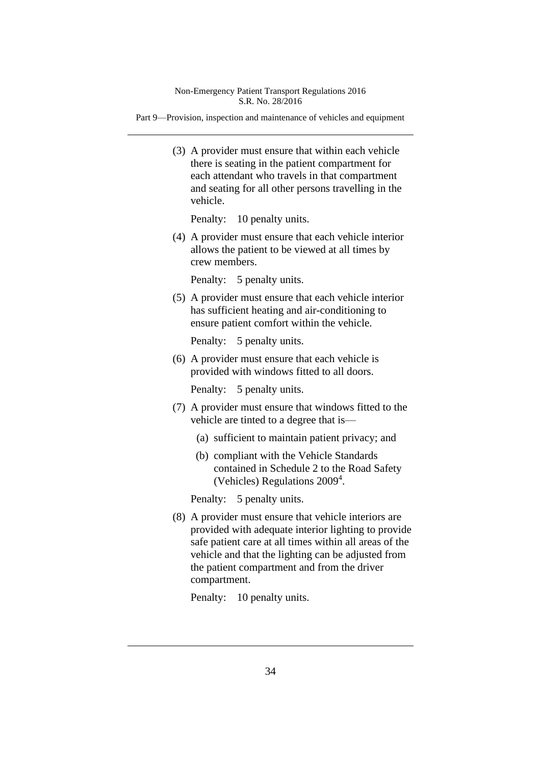Part 9—Provision, inspection and maintenance of vehicles and equipment

(3) A provider must ensure that within each vehicle there is seating in the patient compartment for each attendant who travels in that compartment and seating for all other persons travelling in the vehicle.

Penalty: 10 penalty units.

(4) A provider must ensure that each vehicle interior allows the patient to be viewed at all times by crew members.

Penalty: 5 penalty units.

(5) A provider must ensure that each vehicle interior has sufficient heating and air-conditioning to ensure patient comfort within the vehicle.

Penalty: 5 penalty units.

(6) A provider must ensure that each vehicle is provided with windows fitted to all doors.

Penalty: 5 penalty units.

- (7) A provider must ensure that windows fitted to the vehicle are tinted to a degree that is—
	- (a) sufficient to maintain patient privacy; and
	- (b) compliant with the Vehicle Standards contained in Schedule 2 to the Road Safety (Vehicles) Regulations 2009 4 .

Penalty: 5 penalty units.

(8) A provider must ensure that vehicle interiors are provided with adequate interior lighting to provide safe patient care at all times within all areas of the vehicle and that the lighting can be adjusted from the patient compartment and from the driver compartment.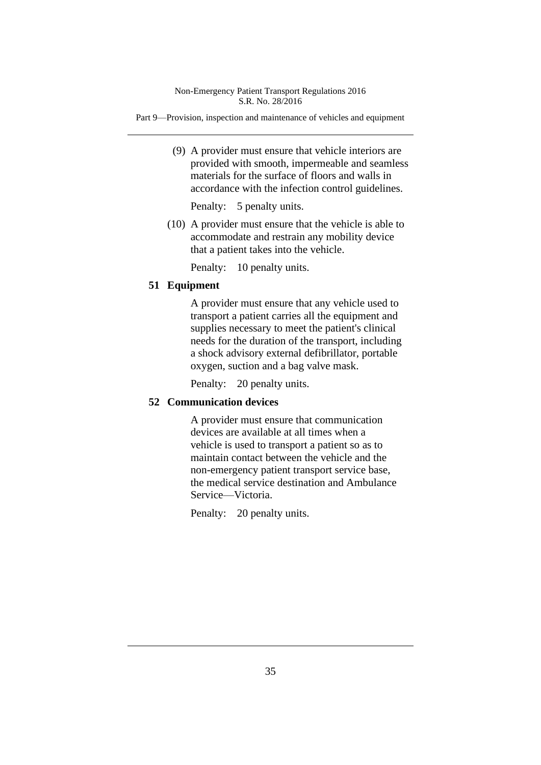Part 9—Provision, inspection and maintenance of vehicles and equipment

(9) A provider must ensure that vehicle interiors are provided with smooth, impermeable and seamless materials for the surface of floors and walls in accordance with the infection control guidelines.

Penalty: 5 penalty units.

(10) A provider must ensure that the vehicle is able to accommodate and restrain any mobility device that a patient takes into the vehicle.

Penalty: 10 penalty units.

# **51 Equipment**

A provider must ensure that any vehicle used to transport a patient carries all the equipment and supplies necessary to meet the patient's clinical needs for the duration of the transport, including a shock advisory external defibrillator, portable oxygen, suction and a bag valve mask.

Penalty: 20 penalty units.

#### **52 Communication devices**

A provider must ensure that communication devices are available at all times when a vehicle is used to transport a patient so as to maintain contact between the vehicle and the non-emergency patient transport service base, the medical service destination and Ambulance Service—Victoria.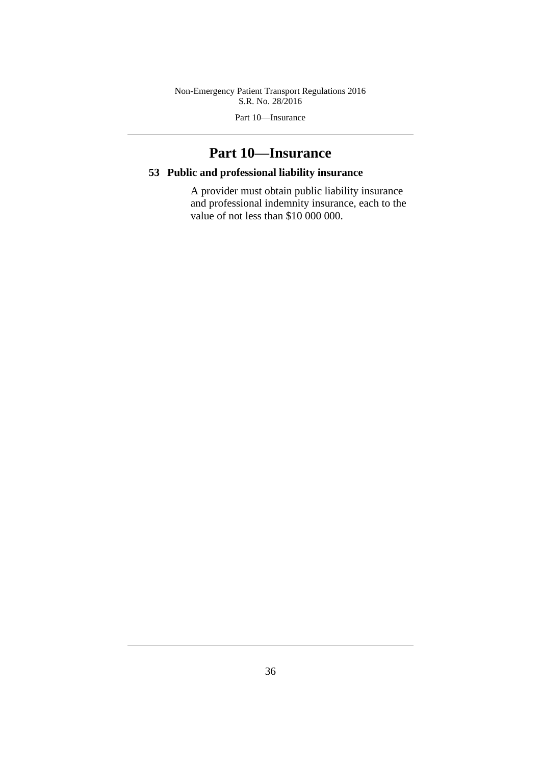Part 10—Insurance

# **Part 10—Insurance**

# **53 Public and professional liability insurance**

A provider must obtain public liability insurance and professional indemnity insurance, each to the value of not less than \$10 000 000.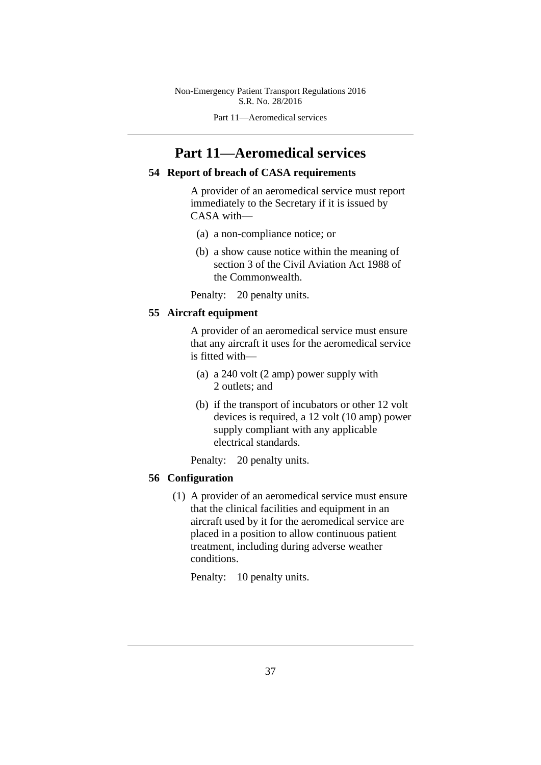Part 11—Aeromedical services

# **Part 11—Aeromedical services**

### **54 Report of breach of CASA requirements**

A provider of an aeromedical service must report immediately to the Secretary if it is issued by CASA with—

- (a) a non-compliance notice; or
- (b) a show cause notice within the meaning of section 3 of the Civil Aviation Act 1988 of the Commonwealth.

Penalty: 20 penalty units.

# **55 Aircraft equipment**

A provider of an aeromedical service must ensure that any aircraft it uses for the aeromedical service is fitted with—

- (a) a 240 volt (2 amp) power supply with 2 outlets; and
- (b) if the transport of incubators or other 12 volt devices is required, a 12 volt (10 amp) power supply compliant with any applicable electrical standards.
- Penalty: 20 penalty units.

# **56 Configuration**

(1) A provider of an aeromedical service must ensure that the clinical facilities and equipment in an aircraft used by it for the aeromedical service are placed in a position to allow continuous patient treatment, including during adverse weather conditions.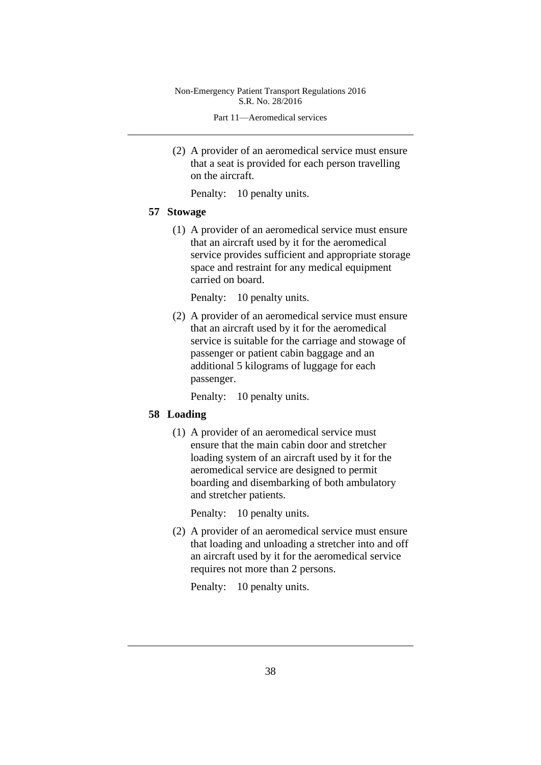Part 11—Aeromedical services

(2) A provider of an aeromedical service must ensure that a seat is provided for each person travelling on the aircraft.

Penalty: 10 penalty units.

#### **57 Stowage**

(1) A provider of an aeromedical service must ensure that an aircraft used by it for the aeromedical service provides sufficient and appropriate storage space and restraint for any medical equipment carried on board.

Penalty: 10 penalty units.

(2) A provider of an aeromedical service must ensure that an aircraft used by it for the aeromedical service is suitable for the carriage and stowage of passenger or patient cabin baggage and an additional 5 kilograms of luggage for each passenger.

Penalty: 10 penalty units.

## **58 Loading**

(1) A provider of an aeromedical service must ensure that the main cabin door and stretcher loading system of an aircraft used by it for the aeromedical service are designed to permit boarding and disembarking of both ambulatory and stretcher patients.

Penalty: 10 penalty units.

(2) A provider of an aeromedical service must ensure that loading and unloading a stretcher into and off an aircraft used by it for the aeromedical service requires not more than 2 persons.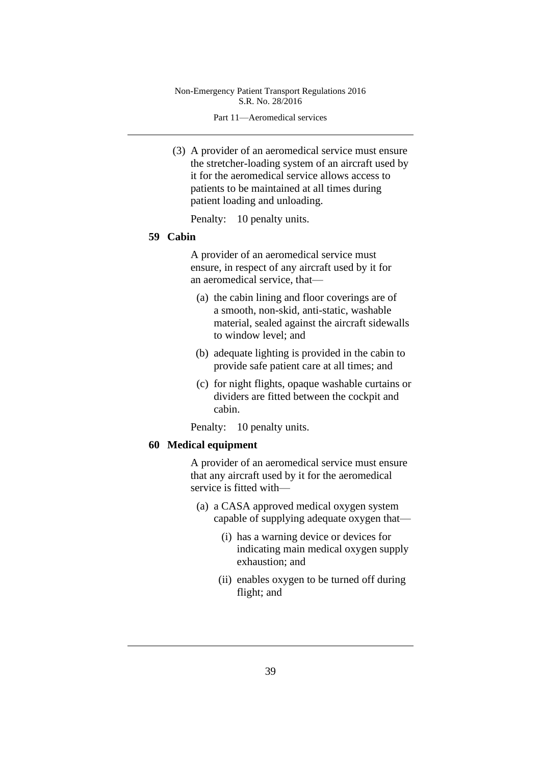Part 11—Aeromedical services

(3) A provider of an aeromedical service must ensure the stretcher-loading system of an aircraft used by it for the aeromedical service allows access to patients to be maintained at all times during patient loading and unloading.

Penalty: 10 penalty units.

### **59 Cabin**

A provider of an aeromedical service must ensure, in respect of any aircraft used by it for an aeromedical service, that—

- (a) the cabin lining and floor coverings are of a smooth, non-skid, anti-static, washable material, sealed against the aircraft sidewalls to window level; and
- (b) adequate lighting is provided in the cabin to provide safe patient care at all times; and
- (c) for night flights, opaque washable curtains or dividers are fitted between the cockpit and cabin.

Penalty: 10 penalty units.

#### **60 Medical equipment**

A provider of an aeromedical service must ensure that any aircraft used by it for the aeromedical service is fitted with—

- (a) a CASA approved medical oxygen system capable of supplying adequate oxygen that—
	- (i) has a warning device or devices for indicating main medical oxygen supply exhaustion; and
	- (ii) enables oxygen to be turned off during flight; and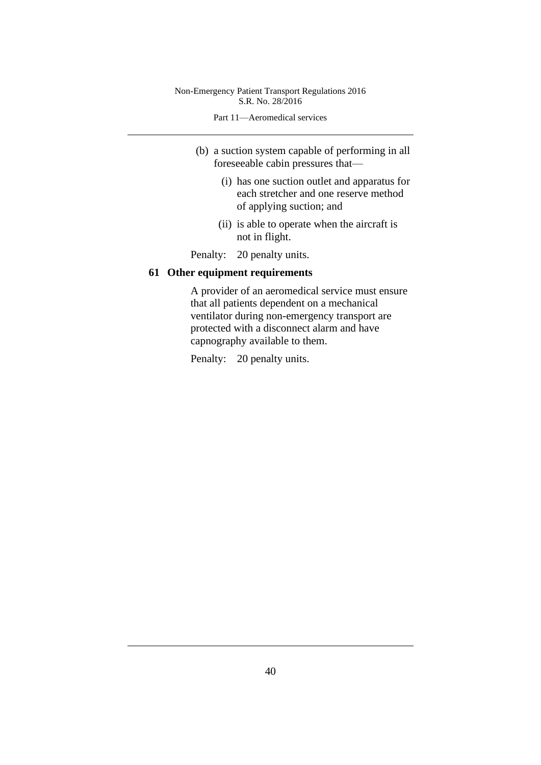Part 11—Aeromedical services

- (b) a suction system capable of performing in all foreseeable cabin pressures that—
	- (i) has one suction outlet and apparatus for each stretcher and one reserve method of applying suction; and
	- (ii) is able to operate when the aircraft is not in flight.

Penalty: 20 penalty units.

# **61 Other equipment requirements**

A provider of an aeromedical service must ensure that all patients dependent on a mechanical ventilator during non-emergency transport are protected with a disconnect alarm and have capnography available to them.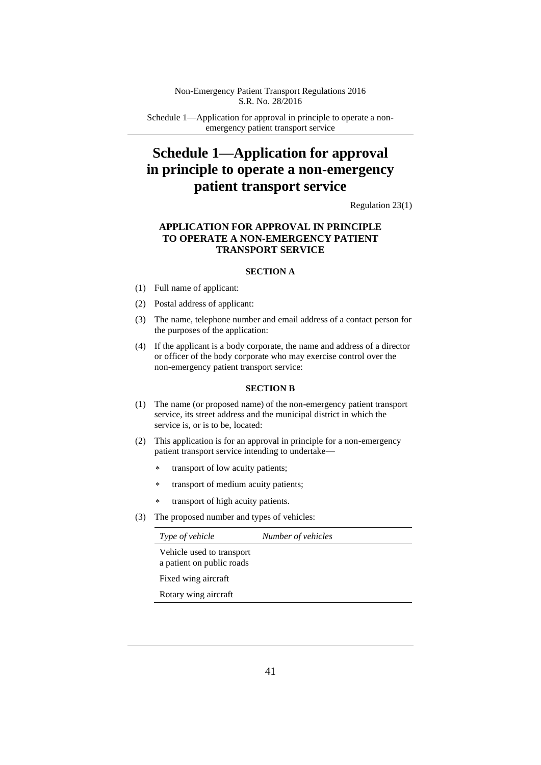Schedule 1—Application for approval in principle to operate a nonemergency patient transport service

# **Schedule 1—Application for approval in principle to operate a non-emergency patient transport service**

Regulation 23(1)

### **APPLICATION FOR APPROVAL IN PRINCIPLE TO OPERATE A NON-EMERGENCY PATIENT TRANSPORT SERVICE**

#### **SECTION A**

- (1) Full name of applicant:
- (2) Postal address of applicant:
- (3) The name, telephone number and email address of a contact person for the purposes of the application:
- (4) If the applicant is a body corporate, the name and address of a director or officer of the body corporate who may exercise control over the non-emergency patient transport service:

#### **SECTION B**

- (1) The name (or proposed name) of the non-emergency patient transport service, its street address and the municipal district in which the service is, or is to be, located:
- (2) This application is for an approval in principle for a non-emergency patient transport service intending to undertake—
	- \* transport of low acuity patients;
	- transport of medium acuity patients;
	- transport of high acuity patients.
- (3) The proposed number and types of vehicles:

| Number of vehicles |
|--------------------|
|                    |
|                    |
|                    |
|                    |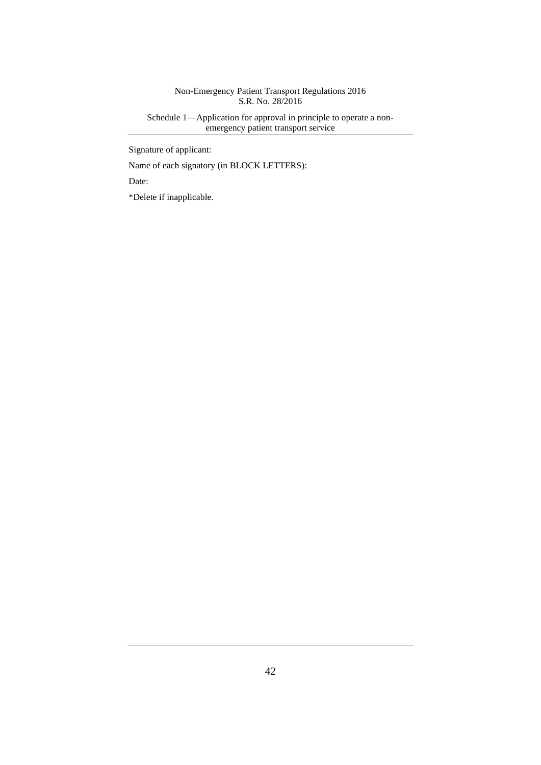Schedule 1—Application for approval in principle to operate a nonemergency patient transport service

Signature of applicant:

Name of each signatory (in BLOCK LETTERS):

Date:

\*Delete if inapplicable.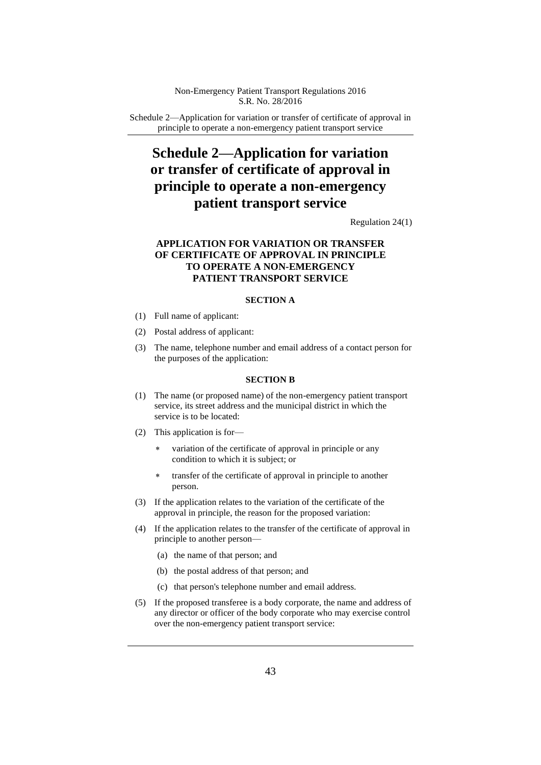Schedule 2—Application for variation or transfer of certificate of approval in principle to operate a non-emergency patient transport service

# **Schedule 2—Application for variation or transfer of certificate of approval in principle to operate a non-emergency patient transport service**

Regulation 24(1)

## **APPLICATION FOR VARIATION OR TRANSFER OF CERTIFICATE OF APPROVAL IN PRINCIPLE TO OPERATE A NON-EMERGENCY PATIENT TRANSPORT SERVICE**

#### **SECTION A**

- (1) Full name of applicant:
- (2) Postal address of applicant:
- (3) The name, telephone number and email address of a contact person for the purposes of the application:

#### **SECTION B**

- (1) The name (or proposed name) of the non-emergency patient transport service, its street address and the municipal district in which the service is to be located:
- (2) This application is for
	- variation of the certificate of approval in principle or any condition to which it is subject; or
	- transfer of the certificate of approval in principle to another person.
- (3) If the application relates to the variation of the certificate of the approval in principle, the reason for the proposed variation:
- (4) If the application relates to the transfer of the certificate of approval in principle to another person—
	- (a) the name of that person; and
	- (b) the postal address of that person; and
	- (c) that person's telephone number and email address.
- (5) If the proposed transferee is a body corporate, the name and address of any director or officer of the body corporate who may exercise control over the non-emergency patient transport service: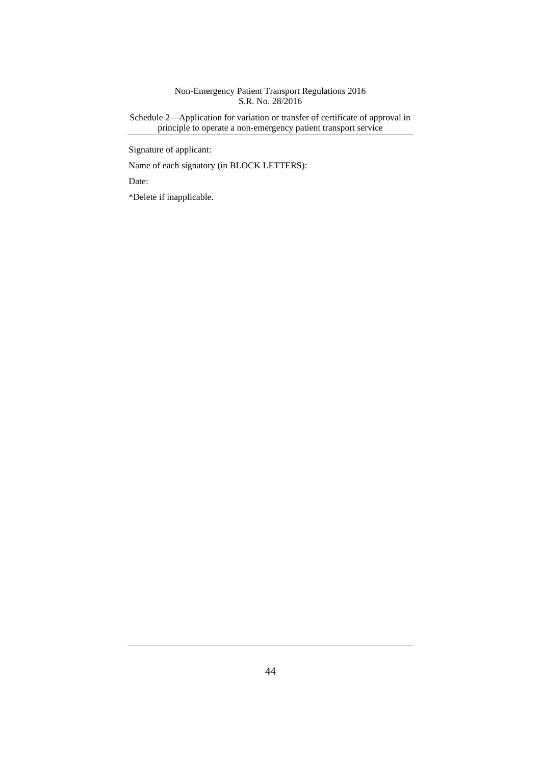Schedule 2—Application for variation or transfer of certificate of approval in principle to operate a non-emergency patient transport service

Signature of applicant:

Name of each signatory (in BLOCK LETTERS):

Date:

\*Delete if inapplicable.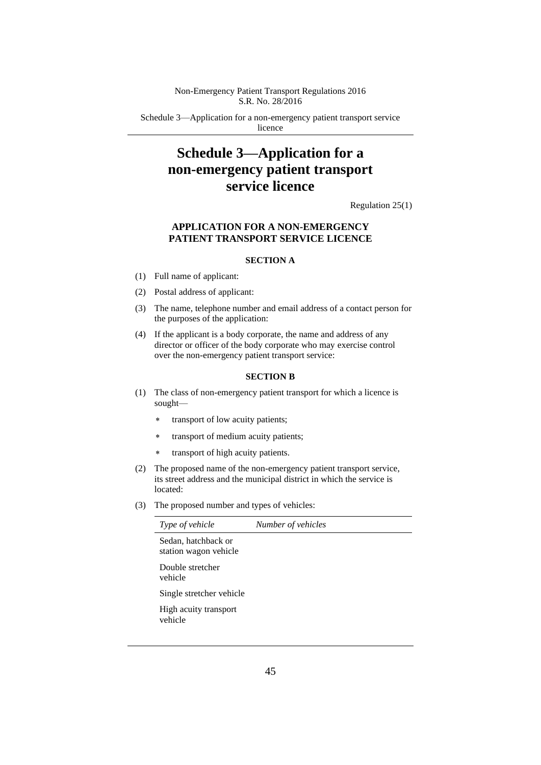Schedule 3—Application for a non-emergency patient transport service licence

# **Schedule 3—Application for a non-emergency patient transport service licence**

Regulation 25(1)

## **APPLICATION FOR A NON-EMERGENCY PATIENT TRANSPORT SERVICE LICENCE**

#### **SECTION A**

- (1) Full name of applicant:
- (2) Postal address of applicant:
- (3) The name, telephone number and email address of a contact person for the purposes of the application:
- (4) If the applicant is a body corporate, the name and address of any director or officer of the body corporate who may exercise control over the non-emergency patient transport service:

#### **SECTION B**

- (1) The class of non-emergency patient transport for which a licence is sought—
	- \* transport of low acuity patients;
	- transport of medium acuity patients;
	- \* transport of high acuity patients.
- (2) The proposed name of the non-emergency patient transport service, its street address and the municipal district in which the service is located:
- (3) The proposed number and types of vehicles:

| Type of vehicle                              | Number of vehicles |
|----------------------------------------------|--------------------|
| Sedan, hatchback or<br>station wagon vehicle |                    |
| Double stretcher<br>vehicle                  |                    |
| Single stretcher vehicle                     |                    |
| High acuity transport<br>vehicle             |                    |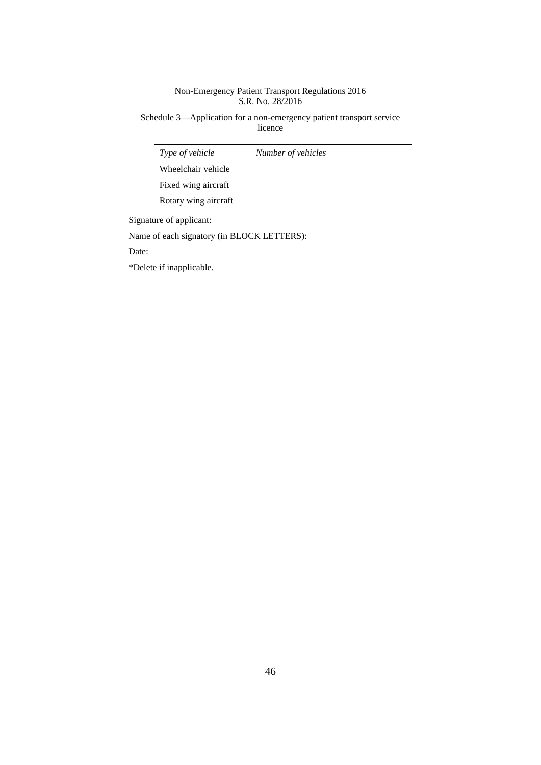Schedule 3—Application for a non-emergency patient transport service licence

| <i>Type of vehicle</i> | Number of vehicles |
|------------------------|--------------------|
| Wheelchair vehicle     |                    |
| Fixed wing aircraft    |                    |
| Rotary wing aircraft   |                    |

Name of each signatory (in BLOCK LETTERS):

Date:

\*Delete if inapplicable.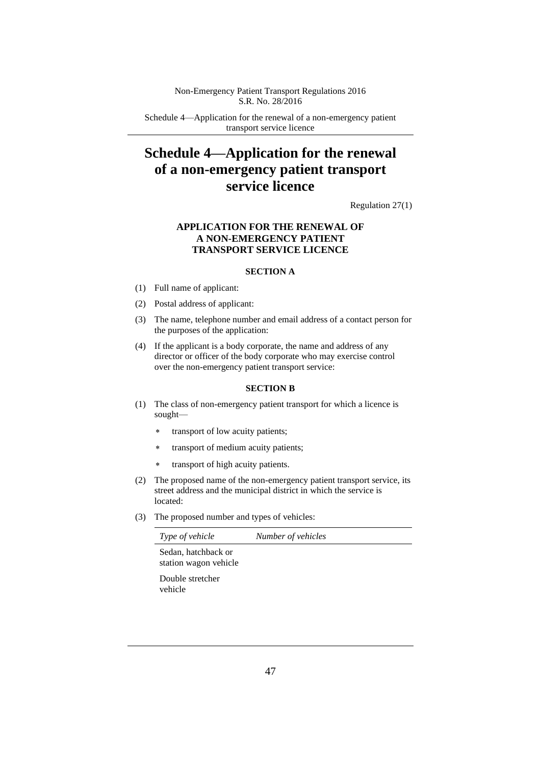Schedule 4—Application for the renewal of a non-emergency patient transport service licence

# **Schedule 4—Application for the renewal of a non-emergency patient transport service licence**

Regulation 27(1)

## **APPLICATION FOR THE RENEWAL OF A NON-EMERGENCY PATIENT TRANSPORT SERVICE LICENCE**

#### **SECTION A**

- (1) Full name of applicant:
- (2) Postal address of applicant:
- (3) The name, telephone number and email address of a contact person for the purposes of the application:
- (4) If the applicant is a body corporate, the name and address of any director or officer of the body corporate who may exercise control over the non-emergency patient transport service:

#### **SECTION B**

- (1) The class of non-emergency patient transport for which a licence is sought
	- transport of low acuity patients;
	- transport of medium acuity patients;
	- transport of high acuity patients.
- (2) The proposed name of the non-emergency patient transport service, its street address and the municipal district in which the service is located:
- (3) The proposed number and types of vehicles:

| <i>Type of vehicle</i> | Number of vehicles |
|------------------------|--------------------|
| Sedan, hatchback or    |                    |
| station wagon vehicle  |                    |

Double stretcher vehicle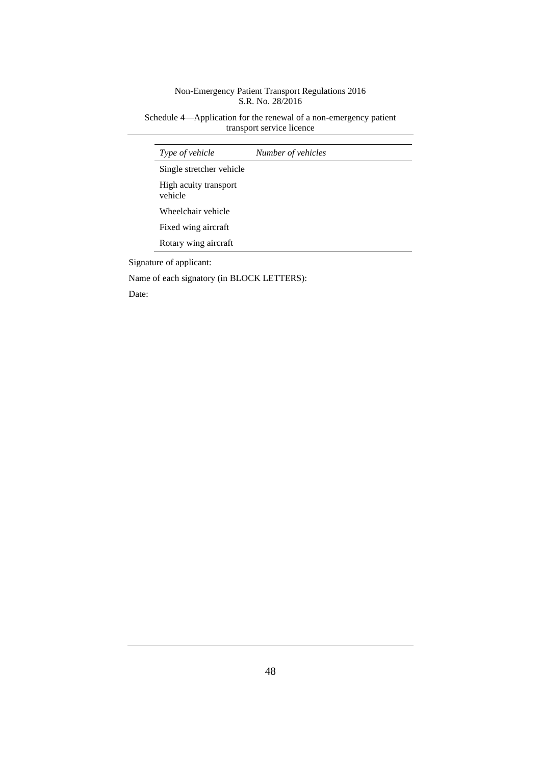Schedule 4—Application for the renewal of a non-emergency patient transport service licence

| Type of vehicle                  | Number of vehicles |  |
|----------------------------------|--------------------|--|
| Single stretcher vehicle         |                    |  |
| High acuity transport<br>vehicle |                    |  |
| Wheelchair vehicle               |                    |  |
| Fixed wing aircraft              |                    |  |
| Rotary wing aircraft             |                    |  |

Signature of applicant:

Name of each signatory (in BLOCK LETTERS):

Date: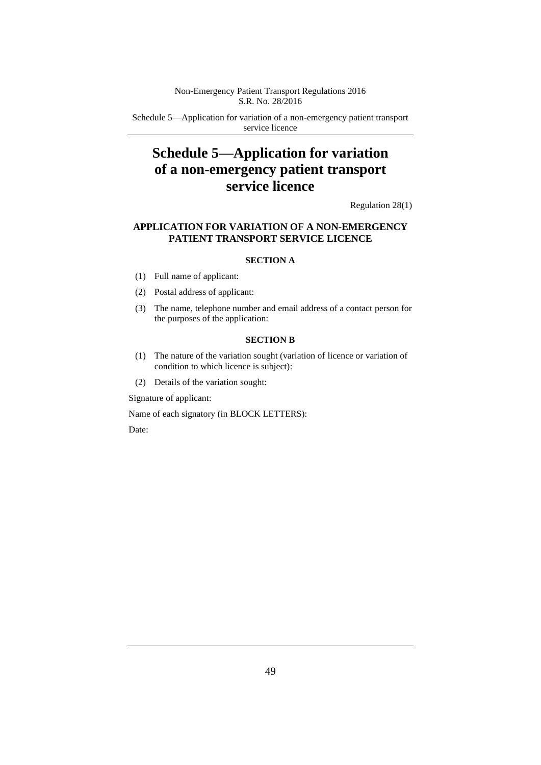Schedule 5—Application for variation of a non-emergency patient transport service licence

# **Schedule 5—Application for variation of a non-emergency patient transport service licence**

Regulation 28(1)

### **APPLICATION FOR VARIATION OF A NON-EMERGENCY PATIENT TRANSPORT SERVICE LICENCE**

#### **SECTION A**

- (1) Full name of applicant:
- (2) Postal address of applicant:
- (3) The name, telephone number and email address of a contact person for the purposes of the application:

#### **SECTION B**

- (1) The nature of the variation sought (variation of licence or variation of condition to which licence is subject):
- (2) Details of the variation sought:

Signature of applicant:

Name of each signatory (in BLOCK LETTERS):

Date: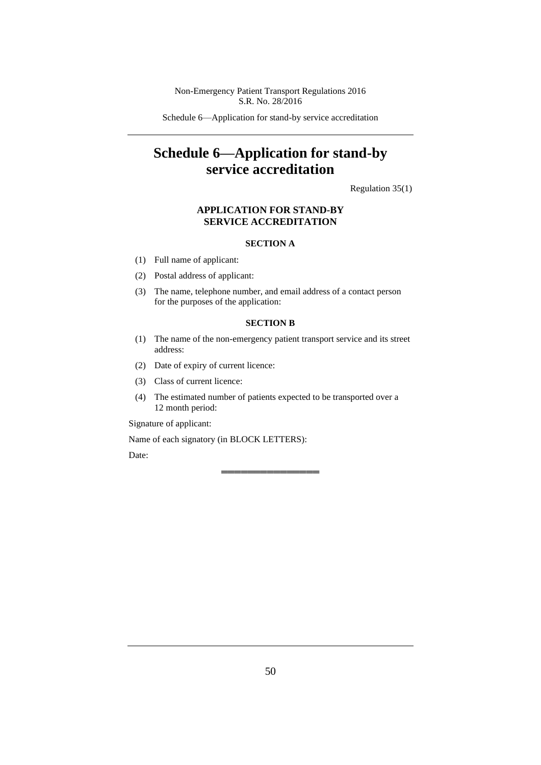Schedule 6—Application for stand-by service accreditation

# **Schedule 6—Application for stand-by service accreditation**

Regulation 35(1)

#### **APPLICATION FOR STAND-BY SERVICE ACCREDITATION**

#### **SECTION A**

- (1) Full name of applicant:
- (2) Postal address of applicant:
- (3) The name, telephone number, and email address of a contact person for the purposes of the application:

#### **SECTION B**

- (1) The name of the non-emergency patient transport service and its street address:
- (2) Date of expiry of current licence:
- (3) Class of current licence:
- (4) The estimated number of patients expected to be transported over a 12 month period:

══════════════════════════════════════

Signature of applicant:

Name of each signatory (in BLOCK LETTERS):

Date: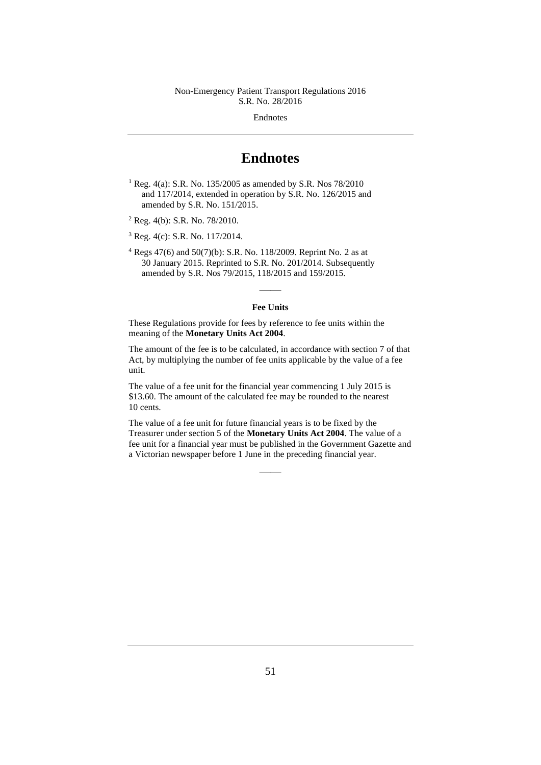Endnotes

# **Endnotes**

<sup>1</sup> Reg. 4(a): S.R. No. 135/2005 as amended by S.R. Nos 78/2010 and 117/2014, extended in operation by S.R. No. 126/2015 and amended by S.R. No. 151/2015.

<sup>2</sup> Reg. 4(b): S.R. No. 78/2010.

<sup>3</sup> Reg. 4(c): S.R. No. 117/2014.

<sup>4</sup> Regs 47(6) and 50(7)(b): S.R. No. 118/2009. Reprint No. 2 as at 30 January 2015. Reprinted to S.R. No. 201/2014. Subsequently amended by S.R. Nos 79/2015, 118/2015 and 159/2015.

# —— **Fee Units**

These Regulations provide for fees by reference to fee units within the meaning of the **Monetary Units Act 2004**.

The amount of the fee is to be calculated, in accordance with section 7 of that Act, by multiplying the number of fee units applicable by the value of a fee unit.

The value of a fee unit for the financial year commencing 1 July 2015 is \$13.60. The amount of the calculated fee may be rounded to the nearest 10 cents.

The value of a fee unit for future financial years is to be fixed by the Treasurer under section 5 of the **Monetary Units Act 2004**. The value of a fee unit for a financial year must be published in the Government Gazette and a Victorian newspaper before 1 June in the preceding financial year.

——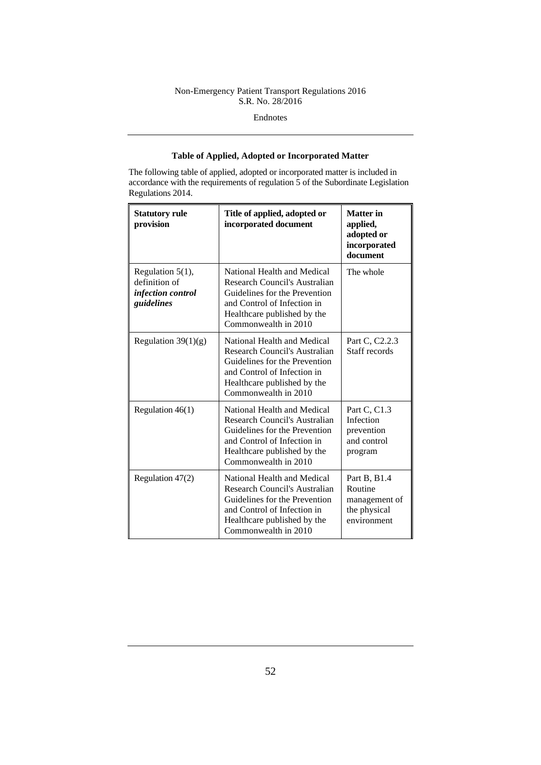Endnotes

## **Table of Applied, Adopted or Incorporated Matter**

The following table of applied, adopted or incorporated matter is included in accordance with the requirements of regulation 5 of the Subordinate Legislation Regulations 2014.

| <b>Statutory rule</b><br>provision                                      | Title of applied, adopted or<br>incorporated document                                                                                                                               | <b>Matter</b> in<br>applied,<br>adopted or<br>incorporated<br>document  |
|-------------------------------------------------------------------------|-------------------------------------------------------------------------------------------------------------------------------------------------------------------------------------|-------------------------------------------------------------------------|
| Regulation $5(1)$ ,<br>definition of<br>infection control<br>guidelines | National Health and Medical<br>Research Council's Australian<br>Guidelines for the Prevention<br>and Control of Infection in<br>Healthcare published by the<br>Commonwealth in 2010 | The whole                                                               |
| Regulation $39(1)(g)$                                                   | National Health and Medical<br>Research Council's Australian<br>Guidelines for the Prevention<br>and Control of Infection in<br>Healthcare published by the<br>Commonwealth in 2010 | Part C, C <sub>2.2.3</sub><br>Staff records                             |
| Regulation $46(1)$                                                      | National Health and Medical<br>Research Council's Australian<br>Guidelines for the Prevention<br>and Control of Infection in<br>Healthcare published by the<br>Commonwealth in 2010 | Part C, C1.3<br>Infection<br>prevention<br>and control<br>program       |
| Regulation 47(2)                                                        | National Health and Medical<br>Research Council's Australian<br>Guidelines for the Prevention<br>and Control of Infection in<br>Healthcare published by the<br>Commonwealth in 2010 | Part B, B1.4<br>Routine<br>management of<br>the physical<br>environment |